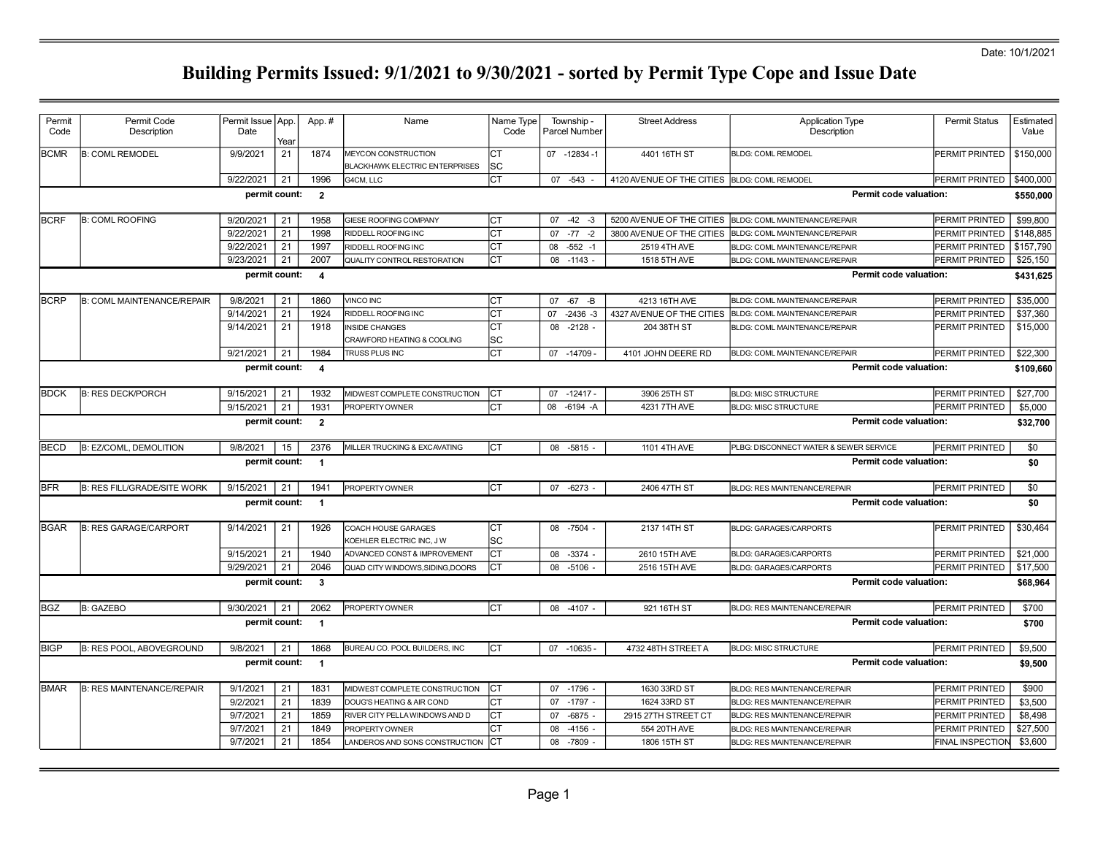### Date: 10/1/2021

| Permit<br>Code | Permit Code<br>Description         | Permit Issue App.<br>Date | Year | App.#                   | Name                                                                | Name Type<br>Code | Township -<br>Parcel Number | <b>Street Address</b>     | <b>Application Type</b><br>Description | <b>Permit Status</b>    | Estimated<br>Value |
|----------------|------------------------------------|---------------------------|------|-------------------------|---------------------------------------------------------------------|-------------------|-----------------------------|---------------------------|----------------------------------------|-------------------------|--------------------|
| <b>BCMR</b>    | <b>B: COML REMODEL</b>             | 9/9/2021                  | 21   | 1874                    | <b>MEYCON CONSTRUCTION</b><br><b>BLACKHAWK ELECTRIC ENTERPRISES</b> | Iст<br>lsc        | 07 -12834 -1                | 4401 16TH ST              | <b>BLDG: COML REMODEL</b>              | PERMIT PRINTED          | \$150,000          |
|                |                                    | 9/22/2021                 | 21   | 1996                    | G4CM, LLC                                                           | lст               | 07 -543                     | 4120 AVENUE OF THE CITIES | <b>BLDG: COML REMODEL</b>              | PERMIT PRINTED          | \$400,000          |
|                |                                    | permit count:             |      | $\overline{\mathbf{2}}$ |                                                                     |                   |                             |                           | Permit code valuation:                 |                         | \$550,000          |
| <b>BCRF</b>    | <b>B: COML ROOFING</b>             | 9/20/2021                 | 21   | 1958                    | GIESE ROOFING COMPANY                                               | lст               | $-42 - 3$<br>07             | 5200 AVENUE OF THE CITIES | BLDG: COML MAINTENANCE/REPAIR          | PERMIT PRINTED          | \$99,800           |
|                |                                    | 9/22/2021                 | 21   | 1998                    | RIDDELL ROOFING INC                                                 | lст               | $07 - 77 - 2$               | 3800 AVENUE OF THE CITIES | BLDG: COML MAINTENANCE/REPAIR          | PERMIT PRINTED          | \$148,885          |
|                |                                    | 9/22/2021                 | 21   | 1997                    | RIDDELL ROOFING INC                                                 | СT                | 08<br>$-552 - 1$            | 2519 4TH AVE              | BLDG: COML MAINTENANCE/REPAIR          | PERMIT PRINTED          | \$157,790          |
|                |                                    | 9/23/2021                 | 21   | 2007                    | QUALITY CONTROL RESTORATION                                         | СT                | $08 - 1143 -$               | 1518 5TH AVE              | BLDG: COML MAINTENANCE/REPAIR          | PERMIT PRINTED          | \$25,150           |
|                |                                    | permit count:             |      | $\overline{\mathbf{4}}$ |                                                                     |                   |                             |                           | Permit code valuation:                 |                         | \$431,625          |
| <b>BCRP</b>    | <b>B: COML MAINTENANCE/REPAIR</b>  | 9/8/2021                  | 21   | 1860                    | VINCO INC                                                           | Iст               | $-67 - B$<br>07             | 4213 16TH AVE             | BLDG: COML MAINTENANCE/REPAIR          | PERMIT PRINTED          | \$35,000           |
|                |                                    | 9/14/2021                 | 21   | 1924                    | RIDDELL ROOFING INC                                                 | <b>CT</b>         | $-2436 - 3$<br>07           | 4327 AVENUE OF THE CITIES | BLDG: COML MAINTENANCE/REPAIR          | PERMIT PRINTED          | \$37,360           |
|                |                                    | 9/14/2021                 | 21   | 1918                    | <b>INSIDE CHANGES</b><br>CRAWFORD HEATING & COOLING                 | CT<br> SC         | 08 -2128 -                  | 204 38TH ST               | BLDG: COML MAINTENANCE/REPAIR          | PERMIT PRINTED          | \$15,000           |
|                |                                    | 9/21/2021                 | 21   | 1984                    | TRUSS PLUS INC                                                      | lст               | 07 -14709                   | 4101 JOHN DEERE RD        | BLDG: COML MAINTENANCE/REPAIR          | PERMIT PRINTED          | \$22,300           |
|                |                                    | permit count:             |      | $\overline{4}$          |                                                                     |                   |                             |                           | Permit code valuation:                 |                         | \$109,660          |
| <b>BDCK</b>    | <b>B: RES DECK/PORCH</b>           | 9/15/2021                 | 21   | 1932                    | MIDWEST COMPLETE CONSTRUCTION                                       | Iст               | $07 - 12417 -$              | 3906 25TH ST              | <b>BLDG: MISC STRUCTURE</b>            | PERMIT PRINTED          | \$27,700           |
|                |                                    | 9/15/2021                 | 21   | 1931                    | PROPERTY OWNER                                                      | Iст               | 80<br>-6194 -A              | 4231 7TH AVE              | <b>BLDG: MISC STRUCTURE</b>            | PERMIT PRINTED          | \$5,000            |
|                | permit count:                      |                           |      |                         |                                                                     |                   |                             |                           | Permit code valuation:                 |                         | \$32,700           |
| <b>IBECD</b>   | <b>B: EZ/COML, DEMOLITION</b>      | 9/8/2021                  | 15   | 2376                    | MILLER TRUCKING & EXCAVATING                                        | Iст               | 08 -5815                    | 1101 4TH AVE              | PLBG: DISCONNECT WATER & SEWER SERVICE | PERMIT PRINTED          | \$0                |
|                |                                    | permit count:             |      | $\overline{\mathbf{1}}$ |                                                                     |                   |                             |                           | Permit code valuation:                 |                         | \$0                |
| <b>BFR</b>     | <b>B: RES FILL/GRADE/SITE WORK</b> | 9/15/2021                 | 21   | 1941                    | PROPERTY OWNER                                                      | Iст               | $07 - 6273 -$               | 2406 47TH ST              | <b>BLDG: RES MAINTENANCE/REPAIR</b>    | PERMIT PRINTED          | \$0                |
|                |                                    | permit count:             |      | $\overline{1}$          |                                                                     |                   |                             |                           | <b>Permit code valuation:</b>          |                         | \$0                |
| IBGAR          | <b>B: RES GARAGE/CARPORT</b>       | 9/14/2021                 | 21   | 1926                    | COACH HOUSE GARAGES<br>KOEHLER ELECTRIC INC, J W                    | Iст<br>lsc        | 08 -7504 -                  | 2137 14TH ST              | <b>BLDG: GARAGES/CARPORTS</b>          | PERMIT PRINTED          | \$30,464           |
|                |                                    | 9/15/2021                 | 21   | 1940                    | ADVANCED CONST & IMPROVEMENT                                        | lст               | $-3374 -$<br>08             | 2610 15TH AVE             | <b>BLDG: GARAGES/CARPORTS</b>          | PERMIT PRINTED          | \$21,000           |
|                |                                    | 9/29/2021                 | 21   | 2046                    | QUAD CITY WINDOWS, SIDING, DOORS                                    | Iст               | 08 -5106                    | 2516 15TH AVE             | <b>BLDG: GARAGES/CARPORTS</b>          | PERMIT PRINTED          | \$17,500           |
|                |                                    | permit count:             |      | $\overline{\mathbf{3}}$ |                                                                     |                   |                             |                           | <b>Permit code valuation:</b>          |                         | \$68,964           |
| lBGZ           | <b>B: GAZEBO</b>                   | 9/30/2021                 | 21   | 2062                    | PROPERTY OWNER                                                      | Iст               | 08 -4107 -                  | 921 16TH ST               | <b>BLDG: RES MAINTENANCE/REPAIR</b>    | PERMIT PRINTED          | \$700              |
|                |                                    | permit count:             |      | $\overline{1}$          |                                                                     |                   |                             |                           | <b>Permit code valuation:</b>          |                         | \$700              |
| <b>BIGP</b>    | <b>B: RES POOL, ABOVEGROUND</b>    | 9/8/2021                  | 21   | 1868                    | BUREAU CO. POOL BUILDERS, INC                                       | Іст               | 07 -10635 -                 | 4732 48TH STREET A        | <b>BLDG: MISC STRUCTURE</b>            | PERMIT PRINTED          | \$9,500            |
|                |                                    | permit count:             |      | $\overline{1}$          |                                                                     |                   |                             |                           | Permit code valuation:                 |                         | \$9,500            |
| <b>BMAR</b>    | <b>B: RES MAINTENANCE/REPAIR</b>   | 9/1/2021                  | 21   | 1831                    | MIDWEST COMPLETE CONSTRUCTION                                       | lст               | 07 -1796                    | 1630 33RD ST              | <b>BLDG: RES MAINTENANCE/REPAIR</b>    | PERMIT PRINTED          | \$900              |
|                |                                    | 9/2/2021                  | 21   | 1839                    | DOUG'S HEATING & AIR COND                                           | СT                | $-1797 -$<br>07             | 1624 33RD ST              | <b>BLDG: RES MAINTENANCE/REPAIR</b>    | PERMIT PRINTED          | \$3,500            |
|                |                                    | 9/7/2021                  | 21   | 1859                    | RIVER CITY PELLA WINDOWS AND D                                      | lст               | 07<br>$-6875$ -             | 2915 27TH STREET CT       | <b>BLDG: RES MAINTENANCE/REPAIR</b>    | PERMIT PRINTED          | \$8,498            |
|                |                                    | 9/7/2021                  | 21   | 1849                    | PROPERTY OWNER                                                      | Iст               | 08<br>$-4156$ -             | 554 20TH AVE              | <b>BLDG: RES MAINTENANCE/REPAIR</b>    | PERMIT PRINTED          | \$27,500           |
|                |                                    | 9/7/2021                  | 21   | 1854                    | LANDEROS AND SONS CONSTRUCTION                                      |                   | 08 -7809 -                  | 1806 15TH ST              | <b>BLDG: RES MAINTENANCE/REPAIR</b>    | <b>FINAL INSPECTION</b> | \$3,600            |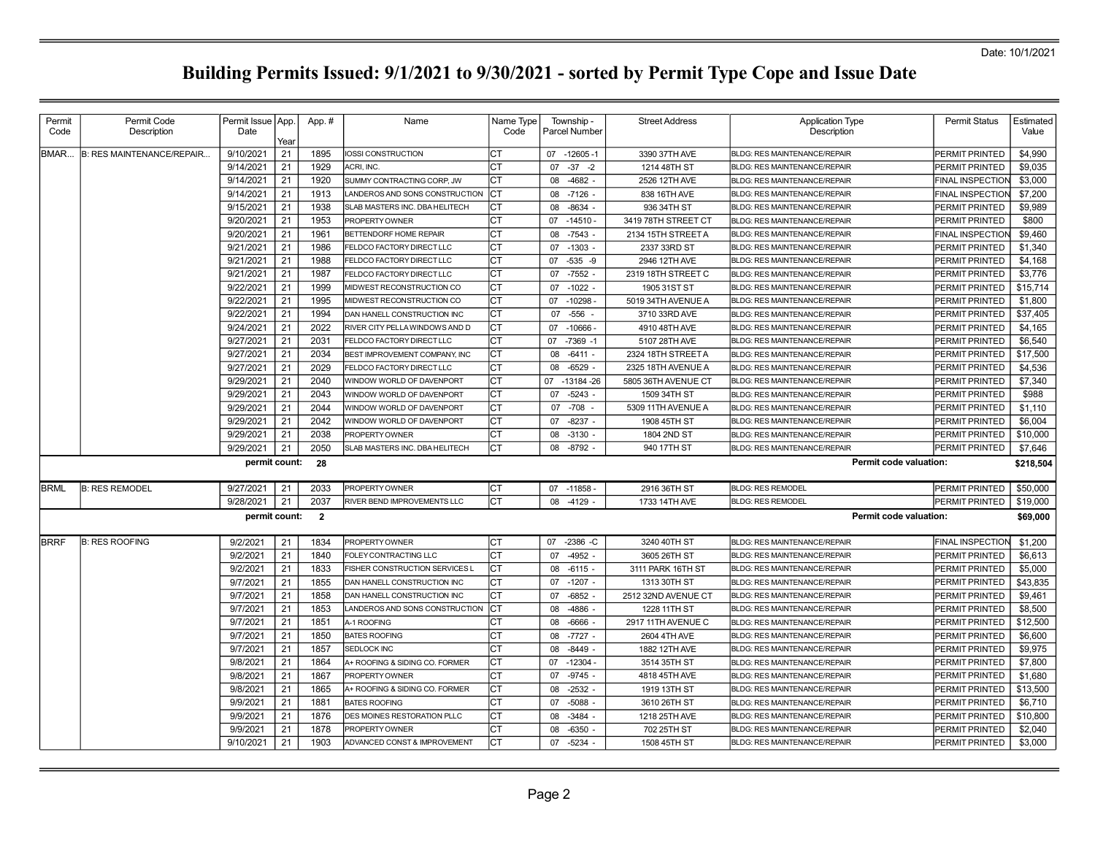| Permit<br>Code | Permit Code<br>Description       | Permit Issue   App.<br>Date |            | App.#          | Name                           | Name Type<br>Code | Township -<br>Parcel Number | <b>Street Address</b> | <b>Application Type</b><br>Description | <b>Permit Status</b>    | Estimated<br>Value |
|----------------|----------------------------------|-----------------------------|------------|----------------|--------------------------------|-------------------|-----------------------------|-----------------------|----------------------------------------|-------------------------|--------------------|
| BMAR           | <b>B: RES MAINTENANCE/REPAIR</b> | 9/10/2021                   | Yeaı<br>21 | 1895           | IOSSI CONSTRUCTION             | СT                | 07 -12605 -1                | 3390 37TH AVE         | <b>BLDG: RES MAINTENANCE/REPAIR</b>    | PERMIT PRINTED          | \$4,990            |
|                |                                  | 9/14/2021                   | 21         | 1929           | ACRI, INC.                     | CT                | $-37 -2$<br>07              | 1214 48TH ST          | BLDG: RES MAINTENANCE/REPAIR           | PERMIT PRINTED          | \$9.035            |
|                |                                  | 9/14/2021                   | 21         | 1920           | SUMMY CONTRACTING CORP. JW     | <b>CT</b>         | $-4682 -$<br>80             | 2526 12TH AVE         | <b>BLDG: RES MAINTENANCE/REPAIR</b>    | <b>FINAL INSPECTION</b> | \$3,000            |
|                |                                  | 9/14/2021                   | 21         | 1913           | LANDEROS AND SONS CONSTRUCTION | <b>ICT</b>        | 80<br>-7126 -               | 838 16TH AVE          | BLDG: RES MAINTENANCE/REPAIR           | FINAL INSPECTION        | \$7,200            |
|                |                                  | 9/15/2021                   | 21         | 1938           | SLAB MASTERS INC. DBAHELITECH  | Iст               | 08<br>$-8634 -$             | 936 34TH ST           | BLDG: RES MAINTENANCE/REPAIR           | PERMIT PRINTED          | \$9,989            |
|                |                                  | 9/20/2021                   | 21         | 1953           | PROPERTY OWNER                 | Iст               | 07<br>-14510 -              | 3419 78TH STREET CT   | BLDG: RES MAINTENANCE/REPAIR           | PERMIT PRINTED          | \$800              |
|                |                                  | 9/20/2021                   | 21         | 1961           | BETTENDORF HOME REPAIR         | Iст               | 08 -7543 -                  | 2134 15TH STREET A    | BLDG: RES MAINTENANCE/REPAIR           | <b>FINAL INSPECTION</b> | \$9,460            |
|                |                                  | 9/21/2021                   | 21         | 1986           | FELDCO FACTORY DIRECT LLC      | Iст               | $-1303 -$<br>07             | 2337 33RD ST          | BLDG: RES MAINTENANCE/REPAIR           | PERMIT PRINTED          | \$1,340            |
|                |                                  | 9/21/2021                   | 21         | 1988           | FELDCO FACTORY DIRECT LLC      | <b>CT</b>         | $-535 - 9$<br>07            | 2946 12TH AVE         | <b>BLDG: RES MAINTENANCE/REPAIR</b>    | PERMIT PRINTED          | \$4,168            |
|                |                                  | 9/21/2021                   | 21         | 1987           | FELDCO FACTORY DIRECT LLC      | Iст               | 07 -7552 -                  | 2319 18TH STREET C    | <b>BLDG: RES MAINTENANCE/REPAIR</b>    | PERMIT PRINTED          | \$3,776            |
|                |                                  | 9/22/2021                   | 21         | 1999           | MIDWEST RECONSTRUCTION CO      | <b>CT</b>         | $-1022$<br>07               | 1905 31ST ST          | <b>BLDG: RES MAINTENANCE/REPAIR</b>    | PERMIT PRINTED          | \$15,714           |
|                |                                  | 9/22/2021                   | 21         | 1995           | MIDWEST RECONSTRUCTION CO      | Iст               | 07 -10298                   | 5019 34TH AVENUE A    | BLDG: RES MAINTENANCE/REPAIR           | PERMIT PRINTED          | \$1,800            |
|                |                                  | 9/22/2021                   | 21         | 1994           | DAN HANELL CONSTRUCTION INC    | <b>CT</b>         | $-556$<br>07                | 3710 33RD AVE         | <b>BLDG: RES MAINTENANCE/REPAIR</b>    | PERMIT PRINTED          | \$37,405           |
|                |                                  | 9/24/2021                   | 21         | 2022           | RIVER CITY PELLA WINDOWS AND D | Iст               | 07<br>$-10666$              | 4910 48TH AVE         | <b>BLDG: RES MAINTENANCE/REPAIR</b>    | PERMIT PRINTED          | \$4,165            |
|                |                                  | 9/27/2021                   | 21         | 2031           | FELDCO FACTORY DIRECT LLC      | <b>CT</b>         | $-7369 - 1$<br>07           | 5107 28TH AVE         | BLDG: RES MAINTENANCE/REPAIR           | PERMIT PRINTED          | \$6,540            |
|                |                                  | 9/27/2021                   | 21         | 2034           | BEST IMPROVEMENT COMPANY, INC  | Iст               | $-6411 -$<br>08             | 2324 18TH STREET A    | BLDG: RES MAINTENANCE/REPAIR           | PERMIT PRINTED          | \$17,500           |
|                |                                  | 9/27/2021                   | 21         | 2029           | FELDCO FACTORY DIRECT LLC      | Iст               | $-6529$ -<br>08             | 2325 18TH AVENUE A    | BLDG: RES MAINTENANCE/REPAIR           | PERMIT PRINTED          | \$4,536            |
|                |                                  | 9/29/2021                   | 21         | 2040           | WINDOW WORLD OF DAVENPORT      | CT                | 07<br>$-13184 - 26$         | 5805 36TH AVENUE CT   | BLDG: RES MAINTENANCE/REPAIR           | PERMIT PRINTED          | \$7,340            |
|                |                                  | 9/29/2021                   | 21         | 2043           | WINDOW WORLD OF DAVENPORT      | lст               | $-5243 -$<br>07             | 1509 34TH ST          | <b>BLDG: RES MAINTENANCE/REPAIR</b>    | PERMIT PRINTED          | \$988              |
|                |                                  | 9/29/2021                   | 21         | 2044           | WINDOW WORLD OF DAVENPORT      | СT                | 07<br>$-708$                | 5309 11TH AVENUE A    | <b>BLDG: RES MAINTENANCE/REPAIR</b>    | PERMIT PRINTED          | \$1,110            |
|                |                                  | 9/29/2021                   | 21         | 2042           | WINDOW WORLD OF DAVENPORT      | Iст               | 07<br>$-8237 -$             | 1908 45TH ST          | BLDG: RES MAINTENANCE/REPAIR           | PERMIT PRINTED          | \$6,004            |
|                |                                  | 9/29/2021                   | 21         | 2038           | PROPERTY OWNER                 | <b>CT</b>         | 08<br>$-3130$               | 1804 2ND ST           | <b>BLDG: RES MAINTENANCE/REPAIR</b>    | PERMIT PRINTED          | \$10,000           |
|                |                                  | 9/29/2021                   | 21         | 2050           | SLAB MASTERS INC. DBA HELITECH | lст               | 08 -8792 -                  | 940 17TH ST           | <b>BLDG: RES MAINTENANCE/REPAIR</b>    | PERMIT PRINTED          | \$7,646            |
|                |                                  | permit count:               |            | 28             |                                |                   |                             |                       | Permit code valuation:                 |                         | \$218,504          |
| <b>BRML</b>    | <b>B: RES REMODEL</b>            | 9/27/2021                   | 21         | 2033           | PROPERTY OWNER                 | Iст               | 07 -11858 -                 | 2916 36TH ST          | <b>BLDG: RES REMODEL</b>               | PERMIT PRINTED          | \$50,000           |
|                |                                  | 9/28/2021                   | 21         | 2037           | RIVER BEND IMPROVEMENTS LLC    | lст               | 08 -4129 -                  | 1733 14TH AVE         | <b>BLDG: RES REMODEL</b>               | PERMIT PRINTED          | \$19,000           |
|                |                                  | permit count:               |            | $\overline{2}$ |                                |                   |                             |                       | <b>Permit code valuation:</b>          |                         | \$69,000           |
| <b>IBRRF</b>   | <b>B: RES ROOFING</b>            | 9/2/2021                    | 21         | 1834           | PROPERTY OWNER                 | Iст               | 07 -2386 -C                 | 3240 40TH ST          | <b>BLDG: RES MAINTENANCE/REPAIR</b>    | <b>FINAL INSPECTION</b> | \$1,200            |
|                |                                  | 9/2/2021                    | 21         | 1840           | FOLEY CONTRACTING LLC          | <b>CT</b>         | $-4952$<br>07               | 3605 26TH ST          | <b>BLDG: RES MAINTENANCE/REPAIR</b>    | PERMIT PRINTED          | \$6,613            |
|                |                                  | 9/2/2021                    | 21         | 1833           | FISHER CONSTRUCTION SERVICES L | Iст               | 80<br>$-6115 -$             | 3111 PARK 16TH ST     | <b>BLDG: RES MAINTENANCE/REPAIR</b>    | PERMIT PRINTED          | \$5,000            |
|                |                                  | 9/7/2021                    | 21         | 1855           | DAN HANELL CONSTRUCTION INC    | CT                | $-1207 -$<br>07             | 1313 30TH ST          | BLDG: RES MAINTENANCE/REPAIR           | PERMIT PRINTED          | \$43.835           |
|                |                                  | 9/7/2021                    | 21         | 1858           | DAN HANELL CONSTRUCTION INC    | <b>CT</b>         | $-6852$<br>07               | 2512 32ND AVENUE CT   | <b>BLDG: RES MAINTENANCE/REPAIR</b>    | PERMIT PRINTED          | \$9,461            |
|                |                                  | 9/7/2021                    | 21         | 1853           | LANDEROS AND SONS CONSTRUCTION | <b>CT</b>         | $-4886$<br>80               | 1228 11TH ST          | BLDG: RES MAINTENANCE/REPAIR           | PERMIT PRINTED          | \$8,500            |
|                |                                  | 9/7/2021                    | 21         | 1851           | A-1 ROOFING                    | СT                | -6666<br>08                 | 2917 11TH AVENUE C    | BLDG: RES MAINTENANCE/REPAIR           | PERMIT PRINTED          | \$12,500           |
|                |                                  | 9/7/2021                    | 21         | 1850           | <b>BATES ROOFING</b>           | Iст               | $-7727 -$<br>08             | 2604 4TH AVE          | BLDG: RES MAINTENANCE/REPAIR           | PERMIT PRINTED          | \$6,600            |
|                |                                  | 9/7/2021                    | 21         | 1857           | SEDLOCK INC                    | <b>CT</b>         | $-8449$ -<br>08             | 1882 12TH AVE         | BLDG: RES MAINTENANCE/REPAIR           | PERMIT PRINTED          | \$9,975            |
|                |                                  | 9/8/2021                    | 21         | 1864           | A+ ROOFING & SIDING CO. FORMER | Iст               | 07 -12304 -                 | 3514 35TH ST          | BLDG: RES MAINTENANCE/REPAIR           | PERMIT PRINTED          | \$7,800            |
|                |                                  | 9/8/2021                    | 21         | 1867           | PROPERTY OWNER                 | <b>CT</b>         | $-9745 -$<br>07             | 4818 45TH AVE         | BLDG: RES MAINTENANCE/REPAIR           | PERMIT PRINTED          | \$1,680            |
|                |                                  | 9/8/2021                    | 21         | 1865           | A+ ROOFING & SIDING CO. FORMER | Iст               | $-2532 -$<br>08             | 1919 13TH ST          | <b>BLDG: RES MAINTENANCE/REPAIR</b>    | PERMIT PRINTED          | \$13,500           |
|                |                                  | 9/9/2021                    | 21         | 1881           | <b>BATES ROOFING</b>           | СT                | $-5088$<br>07               | 3610 26TH ST          | <b>BLDG: RES MAINTENANCE/REPAIR</b>    | PERMIT PRINTED          | \$6,710            |
|                |                                  | 9/9/2021                    | 21         | 1876           | DES MOINES RESTORATION PLLC    | <b>CT</b>         | $-3484$<br>08               | 1218 25TH AVE         | <b>BLDG: RES MAINTENANCE/REPAIR</b>    | PERMIT PRINTED          | \$10,800           |
|                |                                  | 9/9/2021                    | 21         | 1878           | PROPERTY OWNER                 | <b>CT</b>         | $-6350$<br>80               | 702 25TH ST           | <b>BLDG: RES MAINTENANCE/REPAIR</b>    | PERMIT PRINTED          | \$2,040            |
|                |                                  |                             |            |                |                                |                   |                             |                       |                                        |                         | \$3,000            |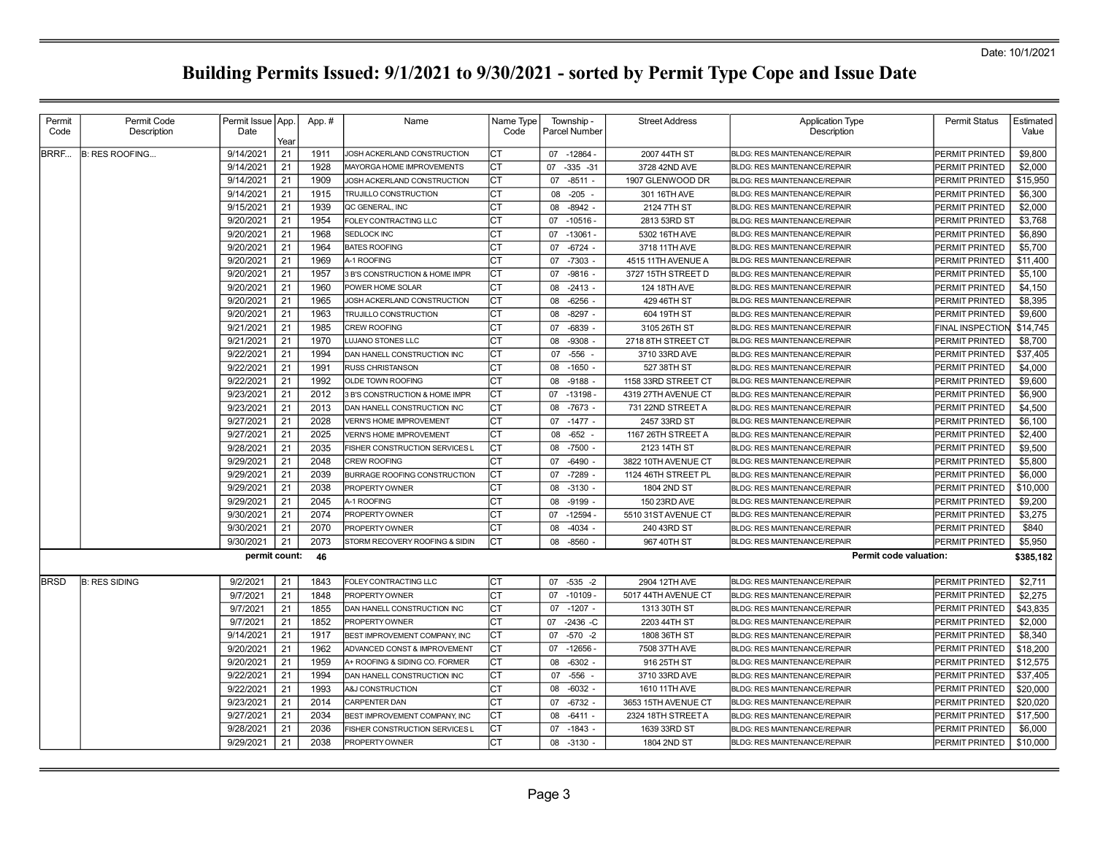| Permit      | Permit Code           | Permit Issue App. |      | App.# | Name                           | Name Type | Township -        | <b>Street Address</b> | <b>Application Type</b>             | <b>Permit Status</b>    | Estimated |
|-------------|-----------------------|-------------------|------|-------|--------------------------------|-----------|-------------------|-----------------------|-------------------------------------|-------------------------|-----------|
| Code        | Description           | Date              | Year |       |                                | Code      | Parcel Number     |                       | Description                         |                         | Value     |
| BRRF        | <b>B: RES ROOFING</b> | 9/14/2021         | 21   | 1911  | JOSH ACKERLAND CONSTRUCTION    | IСТ       | 07 -12864 -       | 2007 44TH ST          | <b>BLDG: RES MAINTENANCE/REPAIR</b> | PERMIT PRINTED          | \$9,800   |
|             |                       | 9/14/2021         | 21   | 1928  | MAYORGA HOME IMPROVEMENTS      | Iст       | 07<br>$-335 - 31$ | 3728 42ND AVE         | <b>BLDG: RES MAINTENANCE/REPAIR</b> | PERMIT PRINTED          | \$2,000   |
|             |                       | 9/14/2021         | 21   | 1909  | JOSH ACKERLAND CONSTRUCTION    | Iст       | 07<br>$-8511 -$   | 1907 GLENWOOD DR      | <b>BLDG: RES MAINTENANCE/REPAIR</b> | PERMIT PRINTED          | \$15,950  |
|             |                       | 9/14/2021         | 21   | 1915  | TRUJILLO CONSTRUCTION          | СT        | 08<br>$-205$      | 301 16TH AVE          | <b>BLDG: RES MAINTENANCE/REPAIR</b> | PERMIT PRINTED          | \$6,300   |
|             |                       | 9/15/2021         | 21   | 1939  | QC GENERAL, INC                | Iст       | 08<br>$-8942$     | 2124 7TH ST           | <b>BLDG: RES MAINTENANCE/REPAIR</b> | PERMIT PRINTED          | \$2,000   |
|             |                       | 9/20/2021         | 21   | 1954  | FOLEY CONTRACTING LLC          | CT        | 07<br>$-10516 -$  | 2813 53RD ST          | <b>BLDG: RES MAINTENANCE/REPAIR</b> | PERMIT PRINTED          | \$3,768   |
|             |                       | 9/20/2021         | 21   | 1968  | <b>SEDLOCK INC</b>             | СT        | 07<br>$-13061$    | 5302 16TH AVE         | <b>BLDG: RES MAINTENANCE/REPAIR</b> | PERMIT PRINTED          | \$6,890   |
|             |                       | 9/20/2021         | 21   | 1964  | <b>BATES ROOFING</b>           | Iст       | 07<br>$-6724 -$   | 3718 11TH AVE         | <b>BLDG: RES MAINTENANCE/REPAIR</b> | PERMIT PRINTED          | \$5,700   |
|             |                       | 9/20/2021         | 21   | 1969  | A-1 ROOFING                    | СT        | $-7303 -$<br>07   | 4515 11TH AVENUE A    | <b>BLDG: RES MAINTENANCE/REPAIR</b> | PERMIT PRINTED          | \$11,400  |
|             |                       | 9/20/2021         | 21   | 1957  | 3 B'S CONSTRUCTION & HOME IMPR | lст       | 07<br>$-9816 -$   | 3727 15TH STREET D    | <b>BLDG: RES MAINTENANCE/REPAIR</b> | PERMIT PRINTED          | \$5,100   |
|             |                       | 9/20/2021         | 21   | 1960  | POWER HOME SOLAR               | СT        | $-2413 -$<br>08   | 124 18TH AVE          | <b>BLDG: RES MAINTENANCE/REPAIR</b> | PERMIT PRINTED          | \$4,150   |
|             |                       | 9/20/2021         | 21   | 1965  | JOSH ACKERLAND CONSTRUCTION    | Iст       | $-6256$ -<br>08   | 429 46TH ST           | <b>BLDG: RES MAINTENANCE/REPAIR</b> | PERMIT PRINTED          | \$8,395   |
|             |                       | 9/20/2021         | 21   | 1963  | TRUJILLO CONSTRUCTION          | СT        | $-8297 -$<br>08   | 604 19TH ST           | BLDG: RES MAINTENANCE/REPAIR        | PERMIT PRINTED          | \$9,600   |
|             |                       | 9/21/2021         | 21   | 1985  | <b>CREW ROOFING</b>            | Iст       | 07<br>-6839       | 3105 26TH ST          | <b>BLDG: RES MAINTENANCE/REPAIR</b> | <b>FINAL INSPECTION</b> | \$14,745  |
|             |                       | 9/21/2021         | 21   | 1970  | LUJANO STONES LLC              | СT        | $-9308$<br>08     | 2718 8TH STREET CT    | BLDG: RES MAINTENANCE/REPAIR        | PERMIT PRINTED          | \$8,700   |
|             |                       | 9/22/2021         | 21   | 1994  | DAN HANELL CONSTRUCTION INC    | СT        | $-556$<br>07      | 3710 33RD AVE         | <b>BLDG: RES MAINTENANCE/REPAIR</b> | PERMIT PRINTED          | \$37,405  |
|             |                       | 9/22/2021         | 21   | 1991  | RUSS CHRISTANSON               | Iст       | 08<br>$-1650 -$   | 527 38TH ST           | <b>BLDG: RES MAINTENANCE/REPAIR</b> | PERMIT PRINTED          | \$4,000   |
|             |                       | 9/22/2021         | 21   | 1992  | OLDE TOWN ROOFING              | Iст       | 08<br>$-9188$     | 1158 33RD STREET CT   | <b>BLDG: RES MAINTENANCE/REPAIR</b> | PERMIT PRINTED          | \$9,600   |
|             |                       | 9/23/2021         | 21   | 2012  | 3 B'S CONSTRUCTION & HOME IMPR | Iст       | $-13198$<br>07    | 4319 27TH AVENUE CT   | <b>BLDG: RES MAINTENANCE/REPAIR</b> | PERMIT PRINTED          | \$6,900   |
|             |                       | 9/23/2021         | 21   | 2013  | DAN HANELL CONSTRUCTION INC    | СT        | 08 -7673 -        | 731 22ND STREET A     | BLDG: RES MAINTENANCE/REPAIR        | PERMIT PRINTED          | \$4,500   |
|             |                       | 9/27/2021         | 21   | 2028  | <b>VERN'S HOME IMPROVEMENT</b> | СT        | $07 - 1477 -$     | 2457 33RD ST          | <b>BLDG: RES MAINTENANCE/REPAIR</b> | PERMIT PRINTED          | \$6,100   |
|             |                       | 9/27/2021         | 21   | 2025  | <b>/ERN'S HOME IMPROVEMENT</b> | CТ        | $-652$<br>08      | 1167 26TH STREET A    | <b>BLDG: RES MAINTENANCE/REPAIR</b> | PERMIT PRINTED          | \$2,400   |
|             |                       | 9/28/2021         | 21   | 2035  | FISHER CONSTRUCTION SERVICES L | Iст       | $-7500 -$<br>08   | 2123 14TH ST          | <b>BLDG: RES MAINTENANCE/REPAIR</b> | PERMIT PRINTED          | \$9,500   |
|             |                       | 9/29/2021         | 21   | 2048  | <b>CREW ROOFING</b>            | СT        | $-6490$<br>07     | 3822 10TH AVENUE CT   | <b>BLDG: RES MAINTENANCE/REPAIR</b> | PERMIT PRINTED          | \$5,800   |
|             |                       | 9/29/2021         | 21   | 2039  | BURRAGE ROOFING CONSTRUCTION   | lст       | 07 -7289          | 1124 46TH STREET PL   | <b>BLDG: RES MAINTENANCE/REPAIR</b> | PERMIT PRINTED          | \$6,000   |
|             |                       | 9/29/2021         | 21   | 2038  | PROPERTY OWNER                 | СT        | 08<br>$-3130 -$   | 1804 2ND ST           | <b>BLDG: RES MAINTENANCE/REPAIR</b> | PERMIT PRINTED          | \$10,000  |
|             |                       | 9/29/2021         | 21   | 2045  | A-1 ROOFING                    | Iст       | 08<br>-9199       | 150 23RD AVE          | <b>BLDG: RES MAINTENANCE/REPAIR</b> | PERMIT PRINTED          | \$9,200   |
|             |                       | 9/30/2021         | 21   | 2074  | PROPERTY OWNER                 | Iст       | $-12594$<br>07    | 5510 31ST AVENUE CT   | <b>BLDG: RES MAINTENANCE/REPAIR</b> | PERMIT PRINTED          | \$3,275   |
|             |                       | 9/30/2021         | 21   | 2070  | <b>PROPERTY OWNER</b>          | СT        | $-4034 -$<br>08   | 240 43RD ST           | <b>BLDG: RES MAINTENANCE/REPAIR</b> | PERMIT PRINTED          | \$840     |
|             |                       | 9/30/2021         | 21   | 2073  | STORM RECOVERY ROOFING & SIDIN | Iст       | $-8560$<br>08     | 967 40TH ST           | <b>BLDG: RES MAINTENANCE/REPAIR</b> | PERMIT PRINTED          | \$5,950   |
|             |                       | permit count:     |      | 46    |                                |           |                   |                       | Permit code valuation:              |                         | \$385,182 |
| <b>BRSD</b> | <b>B: RES SIDING</b>  | 9/2/2021          | 21   | 1843  | FOLEY CONTRACTING LLC          | IСТ       | $-535 -2$<br>07   | 2904 12TH AVE         | <b>BLDG: RES MAINTENANCE/REPAIR</b> | PERMIT PRINTED          | \$2,711   |
|             |                       | 9/7/2021          | 21   | 1848  | PROPERTY OWNER                 | СT        | 07 -10109 -       | 5017 44TH AVENUE CT   | <b>BLDG: RES MAINTENANCE/REPAIR</b> | PERMIT PRINTED          | \$2.275   |
|             |                       | 9/7/2021          | 21   | 1855  | DAN HANELL CONSTRUCTION INC    | СT        | 07<br>$-1207 -$   | 1313 30TH ST          | <b>BLDG: RES MAINTENANCE/REPAIR</b> | PERMIT PRINTED          | \$43,835  |
|             |                       | 9/7/2021          | 21   | 1852  | PROPERTY OWNER                 | lст       | 07<br>$-2436 - C$ | 2203 44TH ST          | <b>BLDG: RES MAINTENANCE/REPAIR</b> | PERMIT PRINTED          | \$2,000   |
|             |                       | 9/14/2021         | 21   | 1917  | BEST IMPROVEMENT COMPANY, INC  | Iст       | $-570 -2$<br>07   | 1808 36TH ST          | <b>BLDG: RES MAINTENANCE/REPAIR</b> | PERMIT PRINTED          | \$8,340   |
|             |                       | 9/20/2021         | 21   | 1962  | ADVANCED CONST & IMPROVEMENT   | lст       | 07<br>$-12656$    | 7508 37TH AVE         | <b>BLDG: RES MAINTENANCE/REPAIR</b> | PERMIT PRINTED          | \$18,200  |
|             |                       | 9/20/2021         | 21   | 1959  | A+ ROOFING & SIDING CO. FORMER | СT        | 08<br>$-6302 -$   | 916 25TH ST           | BLDG: RES MAINTENANCE/REPAIR        | PERMIT PRINTED          | \$12,575  |
|             |                       | 9/22/2021         | 21   | 1994  | DAN HANELL CONSTRUCTION INC    | СT        | $-556 -$<br>07    | 3710 33RD AVE         | <b>BLDG: RES MAINTENANCE/REPAIR</b> | PERMIT PRINTED          | \$37,405  |
|             |                       | 9/22/2021         | 21   | 1993  | A&J CONSTRUCTION               | IСТ       | $-6032 -$<br>08   | 1610 11TH AVE         | <b>BLDG: RES MAINTENANCE/REPAIR</b> | PERMIT PRINTED          | \$20,000  |
|             |                       | 9/23/2021         | 21   | 2014  | <b>CARPENTER DAN</b>           | СT        | 07<br>$-6732 -$   | 3653 15TH AVENUE CT   | BLDG: RES MAINTENANCE/REPAIR        | PERMIT PRINTED          | \$20,020  |
|             |                       | 9/27/2021         | 21   | 2034  | BEST IMPROVEMENT COMPANY, INC  | Iст       | $-6411 -$<br>08   | 2324 18TH STREET A    | <b>BLDG: RES MAINTENANCE/REPAIR</b> | PERMIT PRINTED          | \$17,500  |
|             |                       | 9/28/2021         | 21   | 2036  | FISHER CONSTRUCTION SERVICES L | Iст       | 07 -1843 -        | 1639 33RD ST          | <b>BLDG: RES MAINTENANCE/REPAIR</b> | PERMIT PRINTED          | \$6,000   |
|             |                       | 9/29/2021         | 21   | 2038  | PROPERTY OWNER                 | <b>CT</b> | 08 -3130 -        | 1804 2ND ST           | <b>BLDG: RES MAINTENANCE/REPAIR</b> | PERMIT PRINTED          | \$10,000  |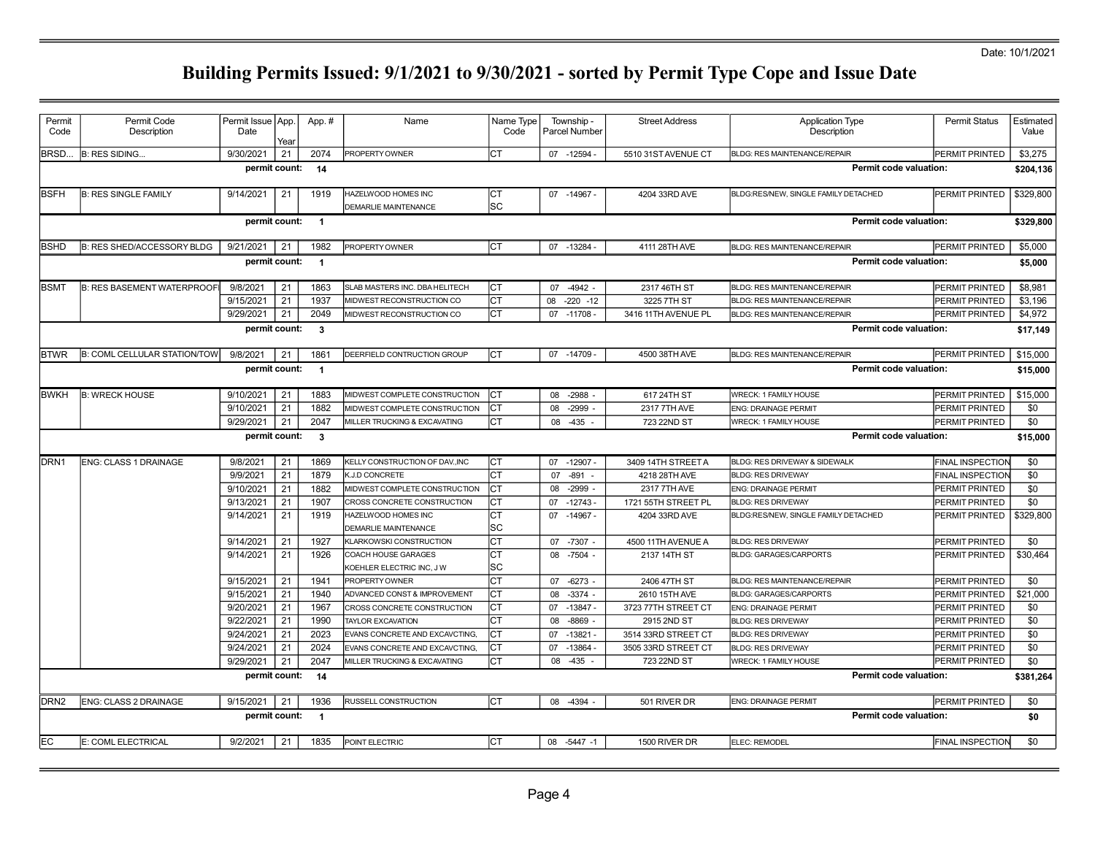| Permit<br>Code                                                            | Permit Code<br>Description          | Permit Issue   App.<br>Date | Year | App.#                    | Name                                               | Name Type<br>Code | Township -<br>Parcel Number | <b>Street Address</b> | <b>Application Type</b><br>Description | <b>Permit Status</b>    | Estimated<br>Value |
|---------------------------------------------------------------------------|-------------------------------------|-----------------------------|------|--------------------------|----------------------------------------------------|-------------------|-----------------------------|-----------------------|----------------------------------------|-------------------------|--------------------|
| BRSD.                                                                     | <b>B: RES SIDING</b>                | 9/30/2021                   | 21   | 2074                     | PROPERTY OWNER                                     | Iст               | 07 -12594 -                 | 5510 31ST AVENUE CT   | <b>BLDG: RES MAINTENANCE/REPAIR</b>    | PERMIT PRINTED          | \$3,275            |
|                                                                           |                                     | permit count:               |      | 14                       |                                                    |                   |                             |                       | Permit code valuation:                 |                         | \$204,136          |
| <b>BSFH</b>                                                               | <b>B: RES SINGLE FAMILY</b>         | 9/14/2021                   | 21   | 1919                     | HAZELWOOD HOMES INC<br><b>DEMARLIE MAINTENANCE</b> | Iст<br>lsc        | 07 -14967 -                 | 4204 33RD AVE         | BLDG:RES/NEW, SINGLE FAMILY DETACHED   | PERMIT PRINTED          | \$329,800          |
|                                                                           |                                     | permit count:               |      | $\overline{\phantom{0}}$ |                                                    |                   |                             |                       | Permit code valuation:                 |                         | \$329,800          |
| <b>IBSHD</b>                                                              | <b>B: RES SHED/ACCESSORY BLDG</b>   | 9/21/2021                   | 21   | 1982                     | PROPERTY OWNER                                     | lст               | 07 -13284                   | 4111 28TH AVE         | <b>BLDG: RES MAINTENANCE/REPAIR</b>    | PERMIT PRINTED          | \$5,000            |
|                                                                           |                                     | permit count:               |      | $\overline{1}$           |                                                    |                   |                             |                       | <b>Permit code valuation:</b>          |                         | \$5,000            |
| <b>BSMT</b>                                                               | <b>B: RES BASEMENT WATERPROOF</b>   | 9/8/2021                    | 21   | 1863                     | SLAB MASTERS INC. DBA HELITECH                     | Iст               | $-4942 -$<br>07             | 2317 46TH ST          | <b>BLDG: RES MAINTENANCE/REPAIR</b>    | PERMIT PRINTED          | \$8,981            |
|                                                                           |                                     | 9/15/2021                   | 21   | 1937                     | MIDWEST RECONSTRUCTION CO                          | Iст               | $-220 - 12$<br>80           | 3225 7TH ST           | <b>BLDG: RES MAINTENANCE/REPAIR</b>    | PERMIT PRINTED          | \$3,196            |
|                                                                           |                                     | 9/29/2021                   | 21   | 2049                     | MIDWEST RECONSTRUCTION CO                          | lст               | 07 -11708 -                 | 3416 11TH AVENUE PL   | <b>BLDG: RES MAINTENANCE/REPAIR</b>    | PERMIT PRINTED          | \$4,972            |
| <b>Permit code valuation:</b><br>permit count:<br>$\overline{\mathbf{3}}$ |                                     |                             |      |                          |                                                    |                   | \$17,149                    |                       |                                        |                         |                    |
| <b>IBTWR</b>                                                              | <b>B: COML CELLULAR STATION/TOW</b> | 9/8/202                     | 21   | 1861                     | DEERFIELD CONTRUCTION GROUP                        | Iст               | 07 -14709                   | 4500 38TH AVE         | <b>BLDG: RES MAINTENANCE/REPAIR</b>    | PERMIT PRINTED          | \$15,000           |
|                                                                           |                                     | permit count:               |      | $\blacksquare$           |                                                    |                   |                             |                       | <b>Permit code valuation:</b>          |                         | \$15,000           |
| <b>BWKH</b>                                                               | <b>B: WRECK HOUSE</b>               | 9/10/2021                   | 21   | 1883                     | MIDWEST COMPLETE CONSTRUCTION                      | Iст               | $-2988$<br>08               | 617 24TH ST           | WRECK: 1 FAMILY HOUSE                  | PERMIT PRINTED          | \$15,000           |
|                                                                           |                                     | 9/10/2021                   | 21   | 1882                     | MIDWEST COMPLETE CONSTRUCTION                      | Iст               | 08<br>$-2999-$              | 2317 7TH AVE          | <b>ENG: DRAINAGE PERMIT</b>            | PERMIT PRINTED          | \$0                |
|                                                                           |                                     | 9/29/2021                   | 21   | 2047                     | MILLER TRUCKING & EXCAVATING                       | Iст               | 08<br>$-435$                | 723 22ND ST           | <b>WRECK: 1 FAMILY HOUSE</b>           | PERMIT PRINTED          | \$0                |
|                                                                           |                                     | permit count:               |      | $\overline{\mathbf{3}}$  |                                                    |                   |                             |                       | <b>Permit code valuation:</b>          |                         | \$15,000           |
| DRN <sub>1</sub>                                                          | <b>ENG: CLASS 1 DRAINAGE</b>        | 9/8/2021                    | 21   | 1869                     | KELLY CONSTRUCTION OF DAV., INC                    | lст               | 07 -12907 -                 | 3409 14TH STREET A    | BLDG: RES DRIVEWAY & SIDEWALK          | <b>FINAL INSPECTION</b> | \$0                |
|                                                                           |                                     | 9/9/2021                    | 21   | 1879                     | K.J.D CONCRETE                                     | Iст               | -891<br>07                  | 4218 28TH AVE         | <b>BLDG: RES DRIVEWAY</b>              | <b>FINAL INSPECTION</b> | \$0                |
|                                                                           |                                     | 9/10/2021                   | 21   | 1882                     | MIDWEST COMPLETE CONSTRUCTION                      | lст               | $-2999-$<br>08              | 2317 7TH AVE          | <b>ENG: DRAINAGE PERMIT</b>            | PERMIT PRINTED          | \$0                |
|                                                                           |                                     | 9/13/2021                   | 21   | 1907                     | CROSS CONCRETE CONSTRUCTION                        | Iст               | 07 -12743                   | 1721 55TH STREET PL   | <b>BLDG: RES DRIVEWAY</b>              | PERMIT PRINTED          | \$0                |
|                                                                           |                                     | 9/14/2021                   | 21   | 1919                     | HAZELWOOD HOMES INC<br><b>DEMARLIE MAINTENANCE</b> | Iст<br>lsc        | 07<br>$-14967 -$            | 4204 33RD AVE         | BLDG:RES/NEW, SINGLE FAMILY DETACHED   | PERMIT PRINTED          | \$329,800          |
|                                                                           |                                     | 9/14/2021                   | 21   | 1927                     | KLARKOWSKI CONSTRUCTION                            | lст               | 07 -7307 -                  | 4500 11TH AVENUE A    | <b>BLDG: RES DRIVEWAY</b>              | PERMIT PRINTED          | \$0                |
|                                                                           |                                     | 9/14/2021                   | 21   | 1926                     | COACH HOUSE GARAGES<br>KOEHLER ELECTRIC INC, J W   | Iст<br>lsc        | 08 -7504 -                  | 2137 14TH ST          | <b>BLDG: GARAGES/CARPORTS</b>          | PERMIT PRINTED          | \$30,464           |
|                                                                           |                                     | 9/15/2021                   | 21   | 1941                     | PROPERTY OWNER                                     | lст               | 07 -6273 -                  | 2406 47TH ST          | <b>BLDG: RES MAINTENANCE/REPAIR</b>    | PERMIT PRINTED          | \$0                |
|                                                                           |                                     | 9/15/2021                   | 21   | 1940                     | ADVANCED CONST & IMPROVEMENT                       | <b>CT</b>         | $-3374 -$<br>08             | 2610 15TH AVE         | <b>BLDG: GARAGES/CARPORTS</b>          | PERMIT PRINTED          | \$21,000           |
|                                                                           |                                     | 9/20/2021                   | 21   | 1967                     | CROSS CONCRETE CONSTRUCTION                        | Iст               | 07 -13847 -                 | 3723 77TH STREET CT   | <b>ENG: DRAINAGE PERMIT</b>            | PERMIT PRINTED          | \$0                |
|                                                                           |                                     | 9/22/2021                   | 21   | 1990                     | <b>TAYLOR EXCAVATION</b>                           | Iст               | $-8869$<br>08               | 2915 2ND ST           | <b>BLDG: RES DRIVEWAY</b>              | PERMIT PRINTED          | \$0                |
|                                                                           |                                     | 9/24/2021                   | 21   | 2023                     | EVANS CONCRETE AND EXCAVCTING,                     | Iст               | $-13821 -$<br>07            | 3514 33RD STREET CT   | <b>BLDG: RES DRIVEWAY</b>              | PERMIT PRINTED          | \$0                |
|                                                                           |                                     | 9/24/2021                   | 21   | 2024                     | EVANS CONCRETE AND EXCAVCTING,                     | Iст               | $-13864 -$<br>07            | 3505 33RD STREET CT   | <b>BLDG: RES DRIVEWAY</b>              | PERMIT PRINTED          | \$0                |
|                                                                           |                                     | 9/29/2021                   | 21   | 2047                     | MILLER TRUCKING & EXCAVATING                       | Iст               | 08 -435 -                   | 723 22ND ST           | WRECK: 1 FAMILY HOUSE                  | PERMIT PRINTED          | \$0                |
|                                                                           |                                     | permit count:               |      | 14                       |                                                    |                   |                             |                       | Permit code valuation:                 |                         | \$381,264          |
| DRN <sub>2</sub>                                                          | <b>ENG: CLASS 2 DRAINAGE</b>        | 9/15/2021                   | 21   | 1936                     | RUSSELL CONSTRUCTION                               | Iст               | 08 -4394                    | 501 RIVER DR          | <b>ENG: DRAINAGE PERMIT</b>            | PERMIT PRINTED          | \$0                |
|                                                                           |                                     | permit count:               |      | $\overline{\phantom{1}}$ |                                                    |                   |                             |                       | Permit code valuation:                 |                         | \$0                |
| lЕC                                                                       | E: COML ELECTRICAL                  | 9/2/2021                    | 21   | 1835                     | POINT ELECTRIC                                     | lст               | $-5447 - 1$<br>80           | 1500 RIVER DR         | ELEC: REMODEL                          | <b>FINAL INSPECTION</b> | \$0                |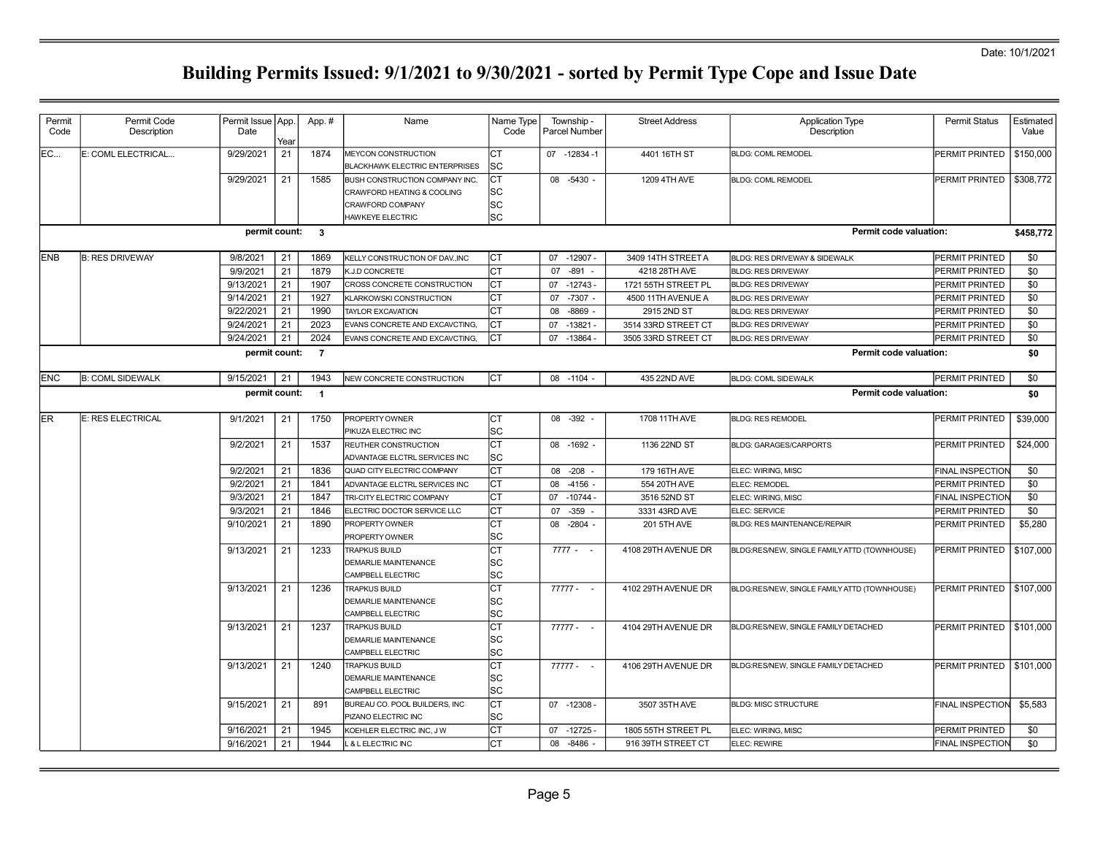| Permit<br>Code | Permit Code<br>Description | Permit Issue App.<br>Date |      | App.#          | Name                                                  | Name Type<br>Code | Township -<br>Parcel Number | <b>Street Address</b> | <b>Application Type</b><br>Description       | <b>Permit Status</b>    | Estimated<br>Value |
|----------------|----------------------------|---------------------------|------|----------------|-------------------------------------------------------|-------------------|-----------------------------|-----------------------|----------------------------------------------|-------------------------|--------------------|
|                |                            |                           | Year |                |                                                       |                   |                             |                       |                                              |                         |                    |
| EC             | E: COML ELECTRICAL         | 9/29/2021                 | 21   | 1874           | MEYCON CONSTRUCTION<br>BLACKHAWK ELECTRIC ENTERPRISES | <b>CT</b><br>SC   | 07 -12834 -1                | 4401 16TH ST          | <b>BLDG: COML REMODEL</b>                    | PERMIT PRINTED          | \$150,000          |
|                |                            | 9/29/2021                 | 21   | 1585           | BUSH CONSTRUCTION COMPANY INC                         | Iст               | 08 -5430 -                  | 1209 4TH AVE          | <b>BLDG: COML REMODEL</b>                    | PERMIT PRINTED          | \$308,772          |
|                |                            |                           |      |                | CRAWFORD HEATING & COOLING                            | lsc               |                             |                       |                                              |                         |                    |
|                |                            |                           |      |                | CRAWFORD COMPANY                                      | sc                |                             |                       |                                              |                         |                    |
|                |                            |                           |      |                | <b>HAWKEYE ELECTRIC</b>                               | SC                |                             |                       |                                              |                         |                    |
|                |                            | permit count: 3           |      |                |                                                       |                   |                             |                       | Permit code valuation:                       |                         | \$458,772          |
| <b>IENB</b>    | <b>B: RES DRIVEWAY</b>     | 9/8/2021                  | 21   | 1869           | KELLY CONSTRUCTION OF DAV., INC                       | СT                | 07 -12907 -                 | 3409 14TH STREET A    | BLDG: RES DRIVEWAY & SIDEWALK                | PERMIT PRINTED          | \$0                |
|                |                            | 9/9/2021                  | 21   | 1879           | K.J.D CONCRETE                                        | СT                | $-891$<br>07                | 4218 28TH AVE         | <b>BLDG: RES DRIVEWAY</b>                    | PERMIT PRINTED          | \$0                |
|                |                            | 9/13/2021                 | 21   | 1907           | CROSS CONCRETE CONSTRUCTION                           | lст               | 07<br>$-12743-$             | 1721 55TH STREET PL   | <b>BLDG: RES DRIVEWAY</b>                    | <b>PERMIT PRINTED</b>   | \$0                |
|                |                            | 9/14/2021                 | 21   | 1927           | KLARKOWSKI CONSTRUCTION                               | <b>CT</b>         | $-7307 -$<br>07             | 4500 11TH AVENUE A    | <b>BLDG: RES DRIVEWAY</b>                    | <b>PERMIT PRINTED</b>   | \$0                |
|                |                            | 9/22/2021                 | 21   | 1990           | <b>TAYLOR EXCAVATION</b>                              | Iст               | $-8869$<br>08               | 2915 2ND ST           | <b>BLDG: RES DRIVEWAY</b>                    | PERMIT PRINTED          | \$0                |
|                |                            | 9/24/2021                 | 21   | 2023           | EVANS CONCRETE AND EXCAVCTING,                        | lст               | 07<br>$-13821 -$            | 3514 33RD STREET CT   | <b>BLDG: RES DRIVEWAY</b>                    | PERMIT PRINTED          | \$0                |
|                |                            | 9/24/2021                 | 21   | 2024           | EVANS CONCRETE AND EXCAVCTING,                        | CT                | $-13864 -$<br>07            | 3505 33RD STREET CT   | <b>BLDG: RES DRIVEWAY</b>                    | PERMIT PRINTED          | \$0                |
|                |                            | permit count:             |      | $\overline{7}$ |                                                       |                   |                             |                       | Permit code valuation:                       |                         | \$0                |
| <b>ENC</b>     | <b>B: COML SIDEWALK</b>    | 9/15/2021                 | 21   | 1943           | NEW CONCRETE CONSTRUCTION                             | Iст               | 08 -1104                    | 435 22ND AVE          | <b>BLDG: COML SIDEWALK</b>                   | PERMIT PRINTED          | \$0                |
|                |                            | permit count:             |      | $\overline{1}$ |                                                       |                   |                             |                       | <b>Permit code valuation:</b>                |                         | \$0                |
| ler            | E: RES ELECTRICAL          | 9/1/2021                  | 21   | 1750           | PROPERTY OWNER                                        | СT                | $-392 -$<br>08              | 1708 11TH AVE         | <b>BLDG: RES REMODEL</b>                     | <b>PERMIT PRINTED</b>   | \$39,000           |
|                |                            |                           |      |                | PIKUZA ELECTRIC INC                                   | lsc               |                             |                       |                                              |                         |                    |
|                |                            | 9/2/2021                  | 21   | 1537           | REUTHER CONSTRUCTION                                  | <b>CT</b>         | 08 -1692 -                  | 1136 22ND ST          | <b>BLDG: GARAGES/CARPORTS</b>                | PERMIT PRINTED          | \$24,000           |
|                |                            |                           |      |                | ADVANTAGE ELCTRL SERVICES INC                         | lsc               |                             |                       |                                              |                         |                    |
|                |                            | 9/2/2021                  | 21   | 1836           | QUAD CITY ELECTRIC COMPANY                            | СT                | $-208 -$<br>08              | 179 16TH AVE          | ELEC: WIRING, MISC                           | <b>FINAL INSPECTION</b> | \$0                |
|                |                            | 9/2/2021                  | 21   | 1841           | ADVANTAGE ELCTRL SERVICES INC                         | lст               | 08<br>$-4156$ -             | 554 20TH AVE          | ELEC: REMODEL                                | PERMIT PRINTED          | \$0                |
|                |                            | 9/3/2021                  | 21   | 1847           | TRI-CITY ELECTRIC COMPANY                             | Iст               | $-10744-$<br>07             | 3516 52ND ST          | ELEC: WIRING, MISC                           | FINAL INSPECTION        | \$0                |
|                |                            | 9/3/2021                  | 21   | 1846           | ELECTRIC DOCTOR SERVICE LLC                           | Іст               | $-359 -$<br>07              | 3331 43RD AVE         | ELEC: SERVICE                                | PERMIT PRINTED          | \$0                |
|                |                            | 9/10/2021                 | 21   | 1890           | PROPERTY OWNER                                        | <b>CT</b>         | 08<br>$-2804 -$             | 201 5TH AVE           | BLDG: RES MAINTENANCE/REPAIR                 | PERMIT PRINTED          | \$5,280            |
|                |                            |                           |      |                | PROPERTY OWNER                                        | SC                |                             |                       |                                              |                         |                    |
|                |                            | 9/13/2021                 | 21   | 1233           | <b>TRAPKUS BUILD</b>                                  | СT                | $7777 - -$                  | 4108 29TH AVENUE DR   | BLDG:RES/NEW, SINGLE FAMILY ATTD (TOWNHOUSE) | PERMIT PRINTED          | \$107,000          |
|                |                            |                           |      |                | DEMARLIE MAINTENANCE                                  | SC                |                             |                       |                                              |                         |                    |
|                |                            |                           |      |                | CAMPBELL ELECTRIC                                     | lsc               |                             |                       |                                              |                         |                    |
|                |                            | 9/13/2021                 | 21   | 1236           | <b>TRAPKUS BUILD</b>                                  | СT                | $77777 - -$                 | 4102 29TH AVENUE DR   | BLDG:RES/NEW, SINGLE FAMILY ATTD (TOWNHOUSE) | PERMIT PRINTED          | \$107,000          |
|                |                            |                           |      |                | <b>DEMARLIE MAINTENANCE</b>                           | lsc               |                             |                       |                                              |                         |                    |
|                |                            |                           |      |                | CAMPBELL ELECTRIC                                     | lsc               |                             |                       |                                              |                         |                    |
|                |                            | 9/13/2021                 | 21   | 1237           | <b>TRAPKUS BUILD</b>                                  | <b>CT</b>         | $77777 - -$                 | 4104 29TH AVENUE DR   | BLDG:RES/NEW, SINGLE FAMILY DETACHED         | PERMIT PRINTED          | \$101,000          |
|                |                            |                           |      |                | <b>DEMARLIE MAINTENANCE</b>                           | lsc               |                             |                       |                                              |                         |                    |
|                |                            |                           |      |                | CAMPBELL ELECTRIC                                     | SC                |                             |                       |                                              |                         |                    |
|                |                            | 9/13/2021                 | 21   | 1240           | <b>TRAPKUS BUILD</b>                                  | СT                | $77777 - -$                 | 4106 29TH AVENUE DR   | BLDG:RES/NEW, SINGLE FAMILY DETACHED         | PERMIT PRINTED          | \$101,000          |
|                |                            |                           |      |                | <b>DEMARLIE MAINTENANCE</b>                           | lsc               |                             |                       |                                              |                         |                    |
|                |                            |                           |      |                | CAMPBELL ELECTRIC                                     | lsc               |                             |                       |                                              |                         |                    |
|                |                            | 9/15/2021                 | 21   | 891            | BUREAU CO. POOL BUILDERS, INC                         | СT                | 07 -12308 -                 | 3507 35TH AVE         | <b>BLDG: MISC STRUCTURE</b>                  | FINAL INSPECTION        | \$5,583            |
|                |                            |                           |      |                | PIZANO ELECTRIC INC                                   | lsc               |                             |                       |                                              |                         |                    |
|                |                            | 9/16/2021                 | 21   | 1945           | KOEHLER ELECTRIC INC, J W                             | СT                | $-12725-$<br>07             | 1805 55TH STREET PL   | ELEC: WIRING, MISC                           | PERMIT PRINTED          | \$0                |
|                |                            | 9/16/2021                 | 21   | 1944           | <b>&amp; LELECTRIC INC</b>                            | <b>CT</b>         | 08 -8486 -                  | 916 39TH STREET CT    | ELEC: REWIRE                                 | FINAL INSPECTION        | \$0                |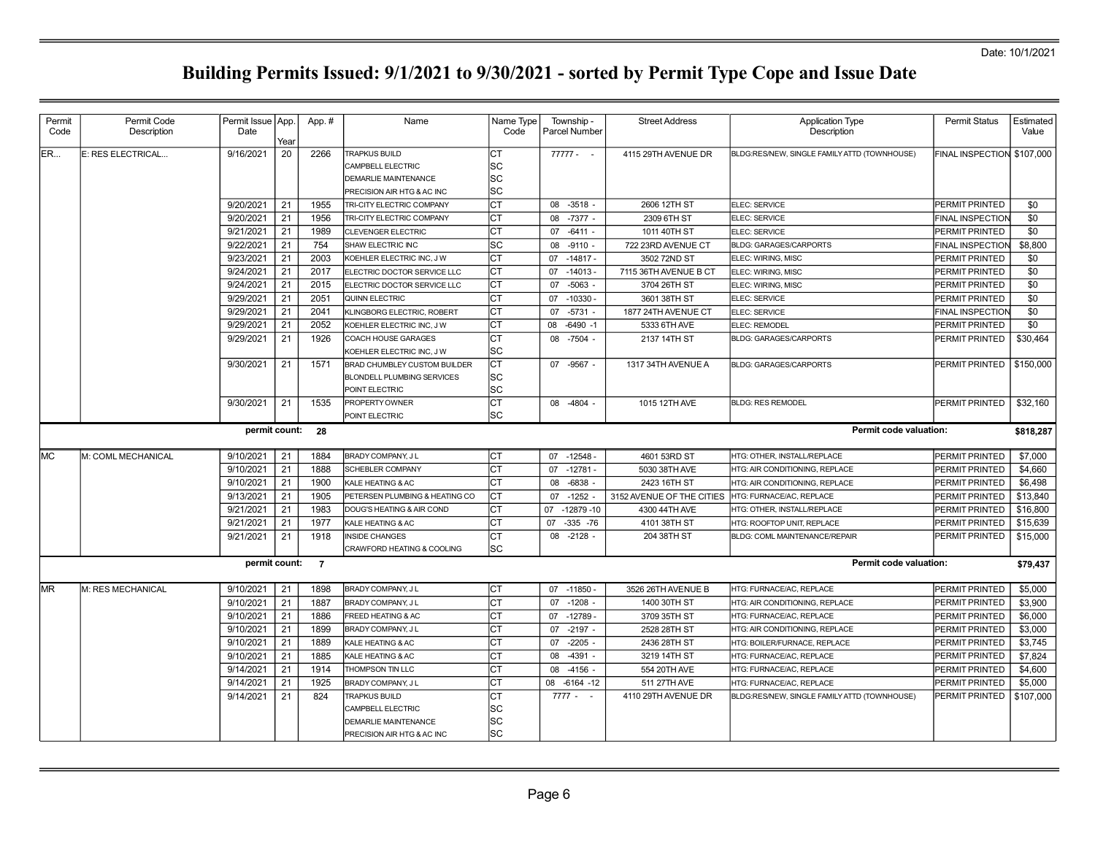| Permit<br>Code | Permit Code<br>Description | Permit Issue   App.<br>Date | Year | App.# | Name                                                                                                   | Name Type<br>Code        | Township -<br>Parcel Number | <b>Street Address</b>     | <b>Application Type</b><br>Description       | <b>Permit Status</b>       | Estimated<br>Value |
|----------------|----------------------------|-----------------------------|------|-------|--------------------------------------------------------------------------------------------------------|--------------------------|-----------------------------|---------------------------|----------------------------------------------|----------------------------|--------------------|
| ER             | E: RES ELECTRICAL          | 9/16/2021                   | 20   | 2266  | <b>TRAPKUS BUILD</b><br>CAMPBELL ELECTRIC<br><b>DEMARLIE MAINTENANCE</b><br>PRECISION AIR HTG & AC INC | Iст<br>lsc<br>lsc<br>lsc | $77777 - -$                 | 4115 29TH AVENUE DR       | BLDG:RES/NEW, SINGLE FAMILY ATTD (TOWNHOUSE) | FINAL INSPECTION \$107,000 |                    |
|                |                            | 9/20/2021                   | 21   | 1955  | TRI-CITY ELECTRIC COMPANY                                                                              | lст                      | 08 -3518 -                  | 2606 12TH ST              | ELEC: SERVICE                                | PERMIT PRINTED             | \$0                |
|                |                            | 9/20/2021                   | 21   | 1956  | <b>TRI-CITY ELECTRIC COMPANY</b>                                                                       | Iст                      | $-7377 -$<br>08             | 2309 6TH ST               | ELEC: SERVICE                                | <b>FINAL INSPECTION</b>    | \$0                |
|                |                            | 9/21/2021                   | 21   | 1989  | CLEVENGER ELECTRIC                                                                                     | Iст                      | $-6411 -$<br>07             | 1011 40TH ST              | ELEC: SERVICE                                | PERMIT PRINTED             | \$0                |
|                |                            | 9/22/2021                   | 21   | 754   | SHAW ELECTRIC INC                                                                                      | lsc                      | $-9110 -$<br>08             | 722 23RD AVENUE CT        | <b>BLDG: GARAGES/CARPORTS</b>                | FINAL INSPECTION           | \$8,800            |
|                |                            | 9/23/2021                   | 21   | 2003  | KOEHLER ELECTRIC INC, J W                                                                              | Iст                      | $-14817 -$<br>07            | 3502 72ND ST              | ELEC: WIRING, MISC                           | PERMIT PRINTED             | \$0                |
|                |                            | 9/24/2021                   | 21   | 2017  | ELECTRIC DOCTOR SERVICE LLC                                                                            | Iст                      | $07 - 14013$                | 7115 36TH AVENUE B CT     | ELEC: WIRING, MISC                           | PERMIT PRINTED             | \$0                |
|                |                            | 9/24/2021                   | 21   | 2015  | ELECTRIC DOCTOR SERVICE LLC                                                                            | Iст                      | 07<br>$-5063$               | 3704 26TH ST              | ELEC: WIRING, MISC                           | PERMIT PRINTED             | \$0                |
|                |                            | 9/29/2021                   | 21   | 2051  | <b>QUINN ELECTRIC</b>                                                                                  | Iст                      | 07<br>$-10330 -$            | 3601 38TH ST              | ELEC: SERVICE                                | PERMIT PRINTED             | \$0                |
|                |                            | 9/29/2021                   | 21   | 2041  | KLINGBORG ELECTRIC, ROBERT                                                                             | Iст                      | $-5731 -$<br>07             | 1877 24TH AVENUE CT       | ELEC: SERVICE                                | <b>FINAL INSPECTION</b>    | \$0                |
|                |                            | 9/29/2021                   | 21   | 2052  | KOEHLER ELECTRIC INC, J W                                                                              | Iст                      | $-6490 -1$<br>80            | 5333 6TH AVE              | ELEC: REMODEL                                | <b>PERMIT PRINTED</b>      | \$0                |
|                |                            | 9/29/2021                   | 21   | 1926  | COACH HOUSE GARAGES<br>KOEHLER ELECTRIC INC, J W                                                       | Iст<br>lsc               | 08 -7504 -                  | 2137 14TH ST              | <b>BLDG: GARAGES/CARPORTS</b>                | PERMIT PRINTED             | \$30,464           |
|                |                            | 9/30/2021                   | 21   | 1571  | BRAD CHUMBLEY CUSTOM BUILDER<br><b>BLONDELL PLUMBING SERVICES</b><br>POINT ELECTRIC                    | Iст<br>lsc<br>lsc        | 07 -9567 -                  | 1317 34TH AVENUE A        | <b>BLDG: GARAGES/CARPORTS</b>                | PERMIT PRINTED             | \$150,000          |
|                |                            | 9/30/2021                   | 21   | 1535  | PROPERTY OWNER<br>POINT ELECTRIC                                                                       | lст<br>lsc               | 08 -4804 -                  | 1015 12TH AVE             | <b>BLDG: RES REMODEL</b>                     | PERMIT PRINTED             | \$32,160           |
|                |                            | permit count: 28            |      |       |                                                                                                        |                          |                             |                           | <b>Permit code valuation:</b>                |                            | \$818,287          |
| <b>MC</b>      | M: COML MECHANICAL         | 9/10/2021                   | 21   | 1884  | BRADY COMPANY, JL                                                                                      | lст                      | $-12548$<br>07              | 4601 53RD ST              | HTG: OTHER. INSTALL/REPLACE                  | PERMIT PRINTED             | \$7,000            |
|                |                            | 9/10/2021                   | 21   | 1888  | <b>SCHEBLER COMPANY</b>                                                                                | lст                      | 07 -12781 -                 | 5030 38TH AVE             | HTG: AIR CONDITIONING, REPLACE               | PERMIT PRINTED             | \$4,660            |
|                |                            | 9/10/2021                   | 21   | 1900  | KALE HEATING & AC                                                                                      | lст                      | $-6838 -$<br>08             | 2423 16TH ST              | HTG: AIR CONDITIONING, REPLACE               | PERMIT PRINTED             | \$6,498            |
|                |                            | 9/13/2021                   | 21   | 1905  | PETERSEN PLUMBING & HEATING CO                                                                         | Iст                      | $-1252 -$<br>07             | 3152 AVENUE OF THE CITIES | HTG: FURNACE/AC, REPLACE                     | PERMIT PRINTED             | \$13,840           |
|                |                            | 9/21/2021                   | 21   | 1983  | DOUG'S HEATING & AIR COND                                                                              | Iст                      | 07<br>$-12879 - 10$         | 4300 44TH AVE             | HTG: OTHER, INSTALL/REPLACE                  | PERMIT PRINTED             | \$16,800           |
|                |                            | 9/21/2021                   | 21   | 1977  | <b>KALE HEATING &amp; AC</b>                                                                           | Iст                      | 07<br>$-335 - 76$           | 4101 38TH ST              | HTG: ROOFTOP UNIT, REPLACE                   | PERMIT PRINTED             | \$15,639           |
|                |                            | 9/21/2021                   | 21   | 1918  | <b>INSIDE CHANGES</b><br>CRAWFORD HEATING & COOLING                                                    | Iст<br>lsc               | $08 - 2128 -$               | 204 38TH ST               | BLDG: COML MAINTENANCE/REPAIR                | PERMIT PRINTED             | \$15,000           |
|                |                            | permit count: 7             |      |       |                                                                                                        |                          |                             |                           | Permit code valuation:                       |                            | \$79,437           |
| <b>MR</b>      | M: RES MECHANICAL          | 9/10/2021                   | 21   | 1898  | BRADY COMPANY, J L                                                                                     | Iст                      | 07 -11850                   | 3526 26TH AVENUE B        | HTG: FURNACE/AC. REPLACE                     | PERMIT PRINTED             | \$5,000            |
|                |                            | 9/10/2021                   | 21   | 1887  | BRADY COMPANY, J L                                                                                     | lст                      | 07 -1208 -                  | 1400 30TH ST              | HTG: AIR CONDITIONING, REPLACE               | PERMIT PRINTED             | \$3,900            |
|                |                            | 9/10/2021                   | 21   | 1886  | FREED HEATING & AC                                                                                     | Iст                      | 07<br>$-12789$              | 3709 35TH ST              | HTG: FURNACE/AC, REPLACE                     | PERMIT PRINTED             | \$6,000            |
|                |                            | 9/10/2021                   | 21   | 1899  | BRADY COMPANY, J L                                                                                     | СT                       | 07 -2197 -                  | 2528 28TH ST              | HTG: AIR CONDITIONING, REPLACE               | PERMIT PRINTED             | \$3,000            |
|                |                            | 9/10/2021                   | 21   | 1889  | <b>KALE HEATING &amp; AC</b>                                                                           | Iст                      | $-2205 -$<br>07             | 2436 28TH ST              | HTG: BOILER/FURNACE, REPLACE                 | PERMIT PRINTED             | \$3,745            |
|                |                            | 9/10/2021                   | 21   | 1885  | KALE HEATING & AC                                                                                      | lст                      | $-4391 -$<br>08             | 3219 14TH ST              | HTG: FURNACE/AC, REPLACE                     | PERMIT PRINTED             | \$7,824            |
|                |                            | 9/14/2021                   | 21   | 1914  | THOMPSON TIN LLC                                                                                       | Iст                      | 08 -4156 -                  | 554 20TH AVE              | HTG: FURNACE/AC. REPLACE                     | PERMIT PRINTED             | \$4,600            |
|                |                            | 9/14/2021                   | 21   | 1925  | BRADY COMPANY, J L                                                                                     | Iст                      | 08<br>$-6164 - 12$          | 511 27TH AVE              | HTG: FURNACE/AC, REPLACE                     | PERMIT PRINTED             | \$5,000            |
|                |                            | 9/14/2021                   | 21   | 824   | <b>TRAPKUS BUILD</b><br>CAMPBELL ELECTRIC<br><b>DEMARLIE MAINTENANCE</b><br>PRECISION AIR HTG & AC INC | Iст<br>lsc<br>lsc<br>lsc | $7777 - -$                  | 4110 29TH AVENUE DR       | BLDG:RES/NEW, SINGLE FAMILY ATTD (TOWNHOUSE) | PERMIT PRINTED             | \$107,000          |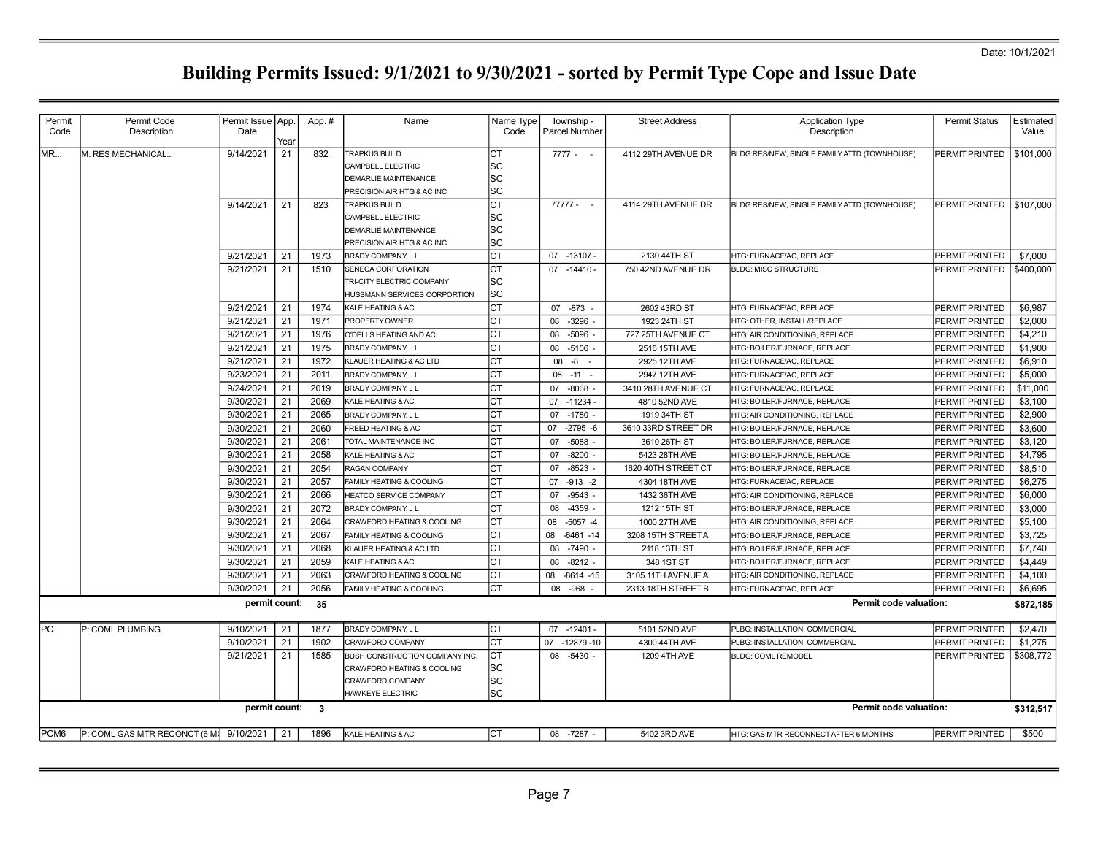| Permit<br>Code   | Permit Code<br>Description              | Permit Issue   App.<br>Date |            | App.#                   | Name                                                                                                   | Name Type<br>Code             | Township .<br>Parcel Number        | <b>Street Address</b>               | <b>Application Type</b><br>Description                       | <b>Permit Status</b>             | Estimated<br>Value |
|------------------|-----------------------------------------|-----------------------------|------------|-------------------------|--------------------------------------------------------------------------------------------------------|-------------------------------|------------------------------------|-------------------------------------|--------------------------------------------------------------|----------------------------------|--------------------|
| <b>MR</b>        | M: RES MECHANICAL                       | 9/14/2021                   | Year<br>21 | 832                     | <b>TRAPKUS BUILD</b><br>CAMPBELL ELECTRIC<br><b>DEMARLIE MAINTENANCE</b><br>PRECISION AIR HTG & AC INC | СT<br>SC<br><b>SC</b><br>SC   | $7777 - -$                         | 4112 29TH AVENUE DR                 | BLDG:RES/NEW, SINGLE FAMILY ATTD (TOWNHOUSE)                 | PERMIT PRINTED                   | \$101,000          |
|                  |                                         | 9/14/2021                   | 21         | 823                     | <b>TRAPKUS BUILD</b><br>CAMPBELL ELECTRIC<br>DEMARLIE MAINTENANCE<br>PRECISION AIR HTG & AC INC        | lст<br>lsc<br><b>SC</b><br>SC | $77777 - -$                        | 4114 29TH AVENUE DR                 | BLDG:RES/NEW, SINGLE FAMILY ATTD (TOWNHOUSE)                 | PERMIT PRINTED                   | \$107,000          |
|                  |                                         | 9/21/2021                   | 21         | 1973                    | BRADY COMPANY, J L                                                                                     | <b>CT</b>                     | 07 -13107 -                        | 2130 44TH ST                        | HTG: FURNACE/AC, REPLACE                                     | PERMIT PRINTED                   | \$7,000            |
|                  |                                         | 9/21/2021                   | 21         | 1510                    | SENECA CORPORATION<br>TRI-CITY ELECTRIC COMPANY<br>HUSSMANN SERVICES CORPORTION                        | CT<br>lsc<br>lsc              | 07<br>-14410 -                     | 750 42ND AVENUE DR                  | <b>BLDG: MISC STRUCTURE</b>                                  | PERMIT PRINTED                   | \$400,000          |
|                  |                                         | 9/21/2021                   | 21         | 1974                    | KALE HEATING & AC                                                                                      | <b>CT</b>                     | 07 -873                            | 2602 43RD ST                        | HTG: FURNACE/AC, REPLACE                                     | PERMIT PRINTED                   | \$6,987            |
|                  |                                         | 9/21/2021                   | 21         | 1971                    | <b>PROPERTY OWNER</b>                                                                                  | CT                            | 08<br>$-3296$                      | 1923 24TH ST                        | HTG: OTHER. INSTALL/REPLACE                                  | PERMIT PRINTED                   | \$2,000            |
|                  |                                         | 9/21/2021                   | 21         | 1976                    | O'DELLS HEATING AND AC                                                                                 | CT                            | $-5096$<br>08                      | 727 25TH AVENUE CT                  | HTG: AIR CONDITIONING, REPLACE                               | PERMIT PRINTED                   | \$4,210            |
|                  |                                         | 9/21/2021                   | 21         | 1975                    | BRADY COMPANY, J L                                                                                     | Iст                           | 08<br>$-5106$ -                    | 2516 15TH AVE                       | HTG: BOILER/FURNACE, REPLACE                                 | PERMIT PRINTED                   | \$1,900            |
|                  |                                         | 9/21/2021                   | 21         | 1972                    | KLAUER HEATING & AC LTD                                                                                | CT                            | 08<br>-8<br>$\sim$                 | 2925 12TH AVE                       | HTG: FURNACE/AC, REPLACE                                     | PERMIT PRINTED                   | \$6,910            |
|                  |                                         | 9/23/2021                   | 21         | 2011                    | BRADY COMPANY, J L                                                                                     | lст                           | 08 -11                             | 2947 12TH AVE                       | HTG: FURNACE/AC, REPLACE                                     | PERMIT PRINTED                   | \$5,000            |
|                  |                                         | 9/24/2021                   | 21         | 2019                    | BRADY COMPANY, J L                                                                                     | CT                            | $-8068$<br>07                      | 3410 28TH AVENUE CT                 | HTG: FURNACE/AC, REPLACE                                     | PERMIT PRINTED                   | \$11,000           |
|                  |                                         | 9/30/2021                   | 21         | 2069                    | KALE HEATING & AC                                                                                      | <b>CT</b>                     | 07<br>$-11234-$                    | 4810 52ND AVE                       | HTG: BOILER/FURNACE, REPLACE                                 | PERMIT PRINTED                   | \$3,100            |
|                  |                                         | 9/30/2021                   | 21         | 2065                    | BRADY COMPANY, J L                                                                                     | lст                           | $-1780 -$<br>07                    | 1919 34TH ST                        | HTG: AIR CONDITIONING, REPLACE                               | PERMIT PRINTED                   | \$2,900            |
|                  |                                         | 9/30/2021<br>9/30/2021      | 21<br>21   | 2060<br>2061            | FREED HEATING & AC<br>TOTAL MAINTENANCE INC                                                            | CT<br>lст                     | 07<br>$-2795 - 6$<br>07<br>$-5088$ | 3610 33RD STREET DR<br>3610 26TH ST | HTG: BOILER/FURNACE, REPLACE<br>HTG: BOILER/FURNACE, REPLACE | PERMIT PRINTED                   | \$3,600            |
|                  |                                         | 9/30/2021                   | 21         | 2058                    | KALE HEATING & AC                                                                                      | CT                            | $-8200$<br>07                      | 5423 28TH AVE                       | HTG: BOILER/FURNACE, REPLACE                                 | PERMIT PRINTED<br>PERMIT PRINTED | \$3,120<br>\$4,795 |
|                  |                                         | 9/30/2021<br>9/30/2021      | 21         | 2054                    | <b>RAGAN COMPANY</b>                                                                                   | CT                            | 07<br>$-8523$                      | 1620 40TH STREET CT                 | HTG: BOILER/FURNACE, REPLACE                                 | PERMIT PRINTED                   | \$8.510            |
|                  |                                         |                             | 21         | 2057                    | FAMILY HEATING & COOLING                                                                               | СT                            | 07<br>$-913 - 2$                   | 4304 18TH AVE                       | HTG: FURNACE/AC, REPLACE                                     | PERMIT PRINTED                   | \$6,275            |
|                  |                                         | 9/30/2021                   | 21         | 2066                    | HEATCO SERVICE COMPANY                                                                                 | CT                            | $-9543$<br>07                      | 1432 36TH AVE                       | HTG: AIR CONDITIONING, REPLACE                               | PERMIT PRINTED                   | \$6,000            |
|                  |                                         | 9/30/2021                   | 21         | 2072                    | BRADY COMPANY, J L                                                                                     | Iст                           | $-4359 -$<br>08                    | 1212 15TH ST                        | HTG: BOILER/FURNACE, REPLACE                                 | PERMIT PRINTED                   | \$3,000            |
|                  |                                         | 9/30/2021                   | 21         | 2064                    | CRAWFORD HEATING & COOLING                                                                             | CT                            | $-5057 - 4$<br>08                  | 1000 27TH AVE                       | HTG: AIR CONDITIONING, REPLACE                               | PERMIT PRINTED                   | \$5,100            |
|                  |                                         | 9/30/2021                   | 21         | 2067                    | FAMILY HEATING & COOLING                                                                               | lст                           | $-6461 - 14$<br>08                 | 3208 15TH STREET A                  | HTG: BOILER/FURNACE, REPLACE                                 | PERMIT PRINTED                   | \$3,725            |
|                  |                                         | 9/30/2021                   | 21         | 2068                    | KLAUER HEATING & AC LTD                                                                                | СT                            | 08<br>$-7490$                      | 2118 13TH ST                        | HTG: BOILER/FURNACE, REPLACE                                 | PERMIT PRINTED                   | \$7,740            |
|                  |                                         | 9/30/2021                   | 21         | 2059                    | KALE HEATING & AC                                                                                      | CT                            | 08<br>$-8212 -$                    | 348 1ST ST                          | HTG: BOILER/FURNACE, REPLACE                                 | <b>PERMIT PRINTED</b>            | \$4,449            |
|                  |                                         | 9/30/2021                   | 21         | 2063                    | CRAWFORD HEATING & COOLING                                                                             | Iст                           | $-8614 - 15$<br>08                 | 3105 11TH AVENUE A                  | HTG: AIR CONDITIONING, REPLACE                               | PERMIT PRINTED                   | \$4,100            |
|                  |                                         | 9/30/2021                   | 21         | 2056                    | FAMILY HEATING & COOLING                                                                               | lст                           | $-968$<br>08                       | 2313 18TH STREET B                  | HTG: FURNACE/AC, REPLACE                                     | PERMIT PRINTED                   | \$6,695            |
|                  |                                         | permit count:               |            | - 35                    |                                                                                                        |                               |                                    |                                     | Permit code valuation:                                       |                                  | \$872,185          |
| lPC.             | P: COML PLUMBING                        | 9/10/2021                   | 21         | 1877                    | BRADY COMPANY, J L                                                                                     | Iст                           | $07 - 12401 -$                     | 5101 52ND AVE                       | PLBG: INSTALLATION, COMMERCIAL                               | PERMIT PRINTED                   | \$2,470            |
|                  |                                         | 9/10/2021                   | 21         | 1902                    | CRAWFORD COMPANY                                                                                       | CT                            | $-12879-10$<br>07                  | 4300 44TH AVE                       | PLBG: INSTALLATION, COMMERCIAL                               | PERMIT PRINTED                   | \$1,275            |
|                  |                                         | 9/21/2021                   | 21         | 1585                    | BUSH CONSTRUCTION COMPANY INC.<br>CRAWFORD HEATING & COOLING<br><b>CRAWFORD COMPANY</b>                | lст<br> sc<br> sc             | 08 -5430 -                         | 1209 4TH AVE                        | <b>BLDG: COML REMODEL</b>                                    | PERMIT PRINTED                   | \$308,772          |
|                  |                                         |                             |            |                         | HAWKEYE ELECTRIC                                                                                       | lsc                           |                                    |                                     |                                                              |                                  |                    |
|                  |                                         | permit count:               |            | $\overline{\mathbf{3}}$ |                                                                                                        |                               |                                    |                                     | Permit code valuation:                                       |                                  | \$312,517          |
| PCM <sub>6</sub> | P: COML GAS MTR RECONCT (6 M) 9/10/2021 |                             | 21         | 1896                    | KALE HEATING & AC                                                                                      | Iст                           | 08 -7287 -                         | 5402 3RD AVE                        | HTG: GAS MTR RECONNECT AFTER 6 MONTHS                        | <b>PERMIT PRINTED</b>            | \$500              |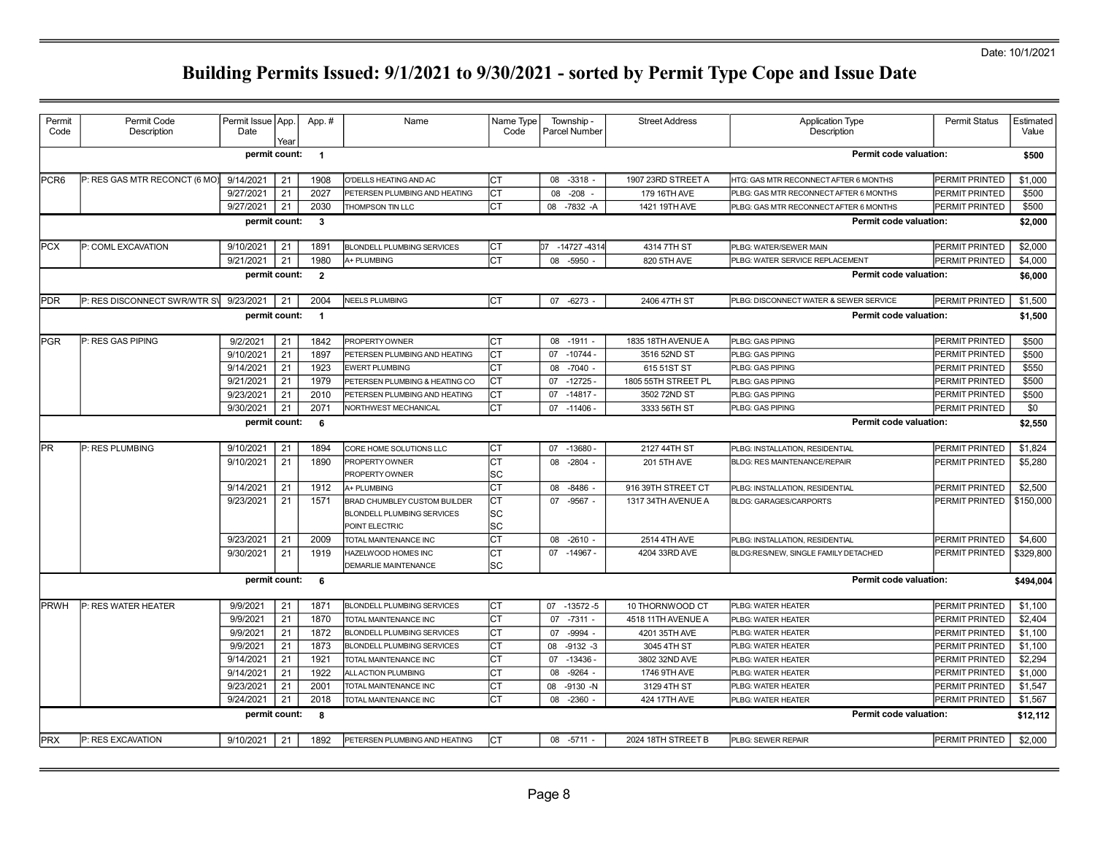### Date: 10/1/2021

| Permit<br>Code | Permit Code<br>Description    | Permit Issue   App.<br>Date | Year | App.#          | Name                                | Name Type<br>Code | Township -<br>Parcel Number | <b>Street Address</b> | <b>Application Type</b><br>Description | Permit Status  | Estimated<br>Value |
|----------------|-------------------------------|-----------------------------|------|----------------|-------------------------------------|-------------------|-----------------------------|-----------------------|----------------------------------------|----------------|--------------------|
|                |                               | permit count:               |      | $\blacksquare$ |                                     |                   |                             |                       | <b>Permit code valuation:</b>          |                | \$500              |
| <b>PCR6</b>    | P: RES GAS MTR RECONCT (6 MO) | 9/14/2021                   | 21   | 1908           | O'DELLS HEATING AND AC              | Iст               | 08 -3318 -                  | 1907 23RD STREET A    | HTG: GAS MTR RECONNECT AFTER 6 MONTHS  | PERMIT PRINTED | \$1,000            |
|                |                               | 9/27/2021                   | 21   | 2027           | PETERSEN PLUMBING AND HEATING       | Iст               | 08<br>$-208$                | 179 16TH AVE          | PLBG: GAS MTR RECONNECT AFTER 6 MONTHS | PERMIT PRINTED | \$500              |
|                |                               | 9/27/2021                   | 21   | 2030           | THOMPSON TIN LLC                    | lст               | 08 -7832 -A                 | 1421 19TH AVE         | PLBG: GAS MTR RECONNECT AFTER 6 MONTHS | PERMIT PRINTED | \$500              |
|                |                               | permit count:               |      | $\mathbf{3}$   |                                     |                   |                             |                       | Permit code valuation:                 |                | \$2,000            |
| <b>IPCX</b>    | P: COML EXCAVATION            | 9/10/2021                   | 21   | 1891           | <b>BLONDELL PLUMBING SERVICES</b>   | lст               | 07 -14727 -4314             | 4314 7TH ST           | PLBG: WATER/SEWER MAIN                 | PERMIT PRINTED | \$2,000            |
|                |                               | 9/21/2021                   | 21   | 1980           | <b>A+ PLUMBING</b>                  | Іст               | 08 -5950                    | 820 5TH AVE           | PLBG: WATER SERVICE REPLACEMENT        | PERMIT PRINTED | \$4,000            |
|                |                               | permit count:               |      | $\overline{2}$ |                                     |                   |                             |                       | Permit code valuation:                 |                | \$6,000            |
| <b>IPDR</b>    | P: RES DISCONNECT SWR/WTR SV  | 9/23/2021                   | 21   | 2004           | <b>NEELS PLUMBING</b>               | Iст               | 07 -6273 -                  | 2406 47TH ST          | PLBG: DISCONNECT WATER & SEWER SERVICE | PERMIT PRINTED | \$1,500            |
|                |                               | permit count:               |      | $\overline{1}$ |                                     |                   |                             |                       | Permit code valuation:                 |                | \$1.500            |
| <b>IPGR</b>    | P: RES GAS PIPING             | 9/2/2021                    | 21   | 1842           | PROPERTY OWNER                      | Iст               | 08<br>$-1911 -$             | 1835 18TH AVENUE A    | PLBG: GAS PIPING                       | PERMIT PRINTED | \$500              |
|                |                               | 9/10/2021                   | 21   | 1897           | PETERSEN PLUMBING AND HEATING       | lст               | 07 -10744 -                 | 3516 52ND ST          | PLBG: GAS PIPING                       | PERMIT PRINTED | \$500              |
|                |                               | 9/14/2021                   | 21   | 1923           | <b>EWERT PLUMBING</b>               | <b>CT</b>         | 08<br>$-7040$ .             | 615 51 ST ST          | PLBG: GAS PIPING                       | PERMIT PRINTED | \$550              |
|                |                               | 9/21/2021                   | 21   | 1979           | PETERSEN PLUMBING & HEATING CO      | <b>CT</b>         | $-12725$<br>07              | 1805 55TH STREET PL   | PLBG: GAS PIPING                       | PERMIT PRINTED | \$500              |
|                |                               | 9/23/2021                   | 21   | 2010           | PETERSEN PLUMBING AND HEATING       | lст               | $-14817 -$<br>07            | 3502 72ND ST          | PLBG: GAS PIPING                       | PERMIT PRINTED | \$500              |
|                |                               | 9/30/2021                   | 21   | 2071           | <b>NORTHWEST MECHANICAL</b>         | Iст               | 07 -11406                   | 3333 56TH ST          | PLBG: GAS PIPING                       | PERMIT PRINTED | \$0                |
|                |                               | permit count:               |      | 6              |                                     |                   |                             |                       | <b>Permit code valuation:</b>          |                | \$2,550            |
| <b>IPR</b>     | P: RES PLUMBING               | 9/10/2021                   | 21   | 1894           | CORE HOME SOLUTIONS LLC             | Іст               | 07 -13680 -                 | 2127 44TH ST          | PLBG: INSTALLATION, RESIDENTIAL        | PERMIT PRINTED | \$1,824            |
|                |                               | 9/10/2021                   | 21   | 1890           | PROPERTY OWNER                      | lст               | 08 -2804 -                  | 201 5TH AVE           | <b>BLDG: RES MAINTENANCE/REPAIR</b>    | PERMIT PRINTED | \$5,280            |
|                |                               |                             |      |                | PROPERTY OWNER                      | lsc               |                             |                       |                                        |                |                    |
|                |                               | 9/14/2021                   | 21   | 1912           | A+ PLUMBING                         | Іст               | 08 -8486 -                  | 916 39TH STREET CT    | PLBG: INSTALLATION, RESIDENTIAL        | PERMIT PRINTED | \$2,500            |
|                |                               | 9/23/2021                   | 21   | 1571           | BRAD CHUMBLEY CUSTOM BUILDER        | lст               | 07 - 9567 -                 | 1317 34TH AVENUE A    | <b>BLDG: GARAGES/CARPORTS</b>          | PERMIT PRINTED | \$150,000          |
|                |                               |                             |      |                | <b>BLONDELL PLUMBING SERVICES</b>   | lsc               |                             |                       |                                        |                |                    |
|                |                               |                             |      |                | POINT ELECTRIC                      | lsc               |                             |                       |                                        |                |                    |
|                |                               | 9/23/2021                   | 21   | 2009           | TOTAL MAINTENANCE INC               | <b>CT</b>         | 08 -2610 -                  | 2514 4TH AVE          | PLBG: INSTALLATION, RESIDENTIAL        | PERMIT PRINTED | \$4,600            |
|                |                               | 9/30/2021                   | 21   | 1919           | HAZELWOOD HOMES INC                 | Iст               | 07 -14967 -                 | 4204 33RD AVE         | BLDG:RES/NEW, SINGLE FAMILY DETACHED   | PERMIT PRINTED | \$329,800          |
|                |                               |                             |      |                | DEMARLIE MAINTENANCE                | lsc               |                             |                       |                                        |                |                    |
|                |                               | permit count: 6             |      |                |                                     |                   |                             |                       | Permit code valuation:                 |                | \$494,004          |
| PRWH           | P: RES WATER HEATER           | 9/9/2021                    | 21   | 1871           | BLONDELL PLUMBING SERVICES          | Iст               | 07<br>$-13572-5$            | 10 THORNWOOD CT       | PLBG: WATER HEATER                     | PERMIT PRINTED | \$1,100            |
|                |                               | 9/9/2021                    | 21   | 1870           | <b><i>FOTAL MAINTENANCE INC</i></b> | СT                | 07<br>$-7311 -$             | 4518 11TH AVENUE A    | PLBG: WATER HEATER                     | PERMIT PRINTED | \$2,404            |
|                |                               | 9/9/2021                    | 21   | 1872           | BLONDELL PLUMBING SERVICES          | <b>CT</b>         | 07<br>$-9994 -$             | 4201 35TH AVE         | PLBG: WATER HEATER                     | PERMIT PRINTED | \$1,100            |
|                |                               | 9/9/2021                    | 21   | 1873           | BLONDELL PLUMBING SERVICES          | lст               | $-9132 -3$<br>08            | 3045 4TH ST           | PLBG: WATER HEATER                     | PERMIT PRINTED | \$1,100            |
|                |                               | 9/14/2021                   | 21   | 1921           | TOTAL MAINTENANCE INC               | Iст               | 07 -13436 -                 | 3802 32ND AVE         | PLBG: WATER HEATER                     | PERMIT PRINTED | \$2,294            |
|                |                               | 9/14/2021                   | 21   | 1922           | ALL ACTION PLUMBING                 | lст               | $-9264 -$<br>08             | 1746 9TH AVE          | PLBG: WATER HEATER                     | PERMIT PRINTED | \$1,000            |
|                |                               | 9/23/2021                   | 21   | 2001           | TOTAL MAINTENANCE INC               | <b>CT</b>         | $-9130 - N$<br>80           | 3129 4TH ST           | PLBG: WATER HEATER                     | PERMIT PRINTED | \$1,547            |
|                |                               | 9/24/2021                   | 21   | 2018           | TOTAL MAINTENANCE INC               | lст               | 08<br>-2360                 | 424 17TH AVE          | PLBG: WATER HEATER                     | PERMIT PRINTED | \$1,567            |
|                |                               | permit count:               |      | 8              |                                     |                   |                             |                       | Permit code valuation:                 |                | \$12,112           |
| <b>IPRX</b>    | P: RES EXCAVATION             | 9/10/2021                   | 21   | 1892           | PETERSEN PLUMBING AND HEATING       | Iст               | 08 -5711 -                  | 2024 18TH STREET B    | PLBG: SEWER REPAIR                     | PERMIT PRINTED | \$2,000            |
|                |                               |                             |      |                |                                     |                   |                             |                       |                                        |                |                    |